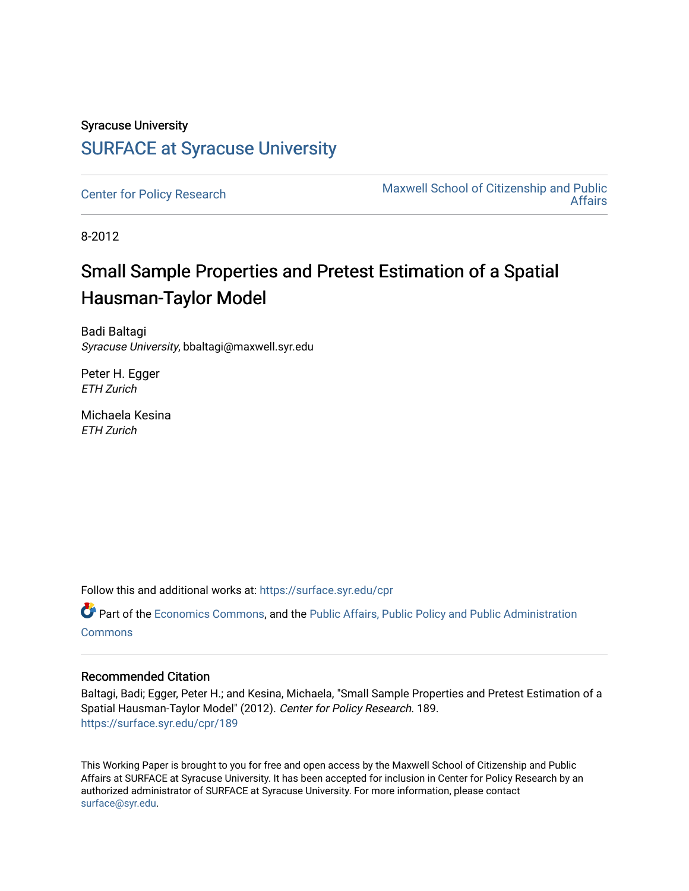### Syracuse University [SURFACE at Syracuse University](https://surface.syr.edu/)

[Center for Policy Research](https://surface.syr.edu/cpr) Maxwell School of Citizenship and Public [Affairs](https://surface.syr.edu/maxwell) 

8-2012

# Small Sample Properties and Pretest Estimation of a Spatial Hausman-Taylor Model

Badi Baltagi Syracuse University, bbaltagi@maxwell.syr.edu

Peter H. Egger ETH Zurich

Michaela Kesina ETH Zurich

Follow this and additional works at: [https://surface.syr.edu/cpr](https://surface.syr.edu/cpr?utm_source=surface.syr.edu%2Fcpr%2F189&utm_medium=PDF&utm_campaign=PDFCoverPages) 

Part of the [Economics Commons](http://network.bepress.com/hgg/discipline/340?utm_source=surface.syr.edu%2Fcpr%2F189&utm_medium=PDF&utm_campaign=PDFCoverPages), and the [Public Affairs, Public Policy and Public Administration](http://network.bepress.com/hgg/discipline/393?utm_source=surface.syr.edu%2Fcpr%2F189&utm_medium=PDF&utm_campaign=PDFCoverPages) **[Commons](http://network.bepress.com/hgg/discipline/393?utm_source=surface.syr.edu%2Fcpr%2F189&utm_medium=PDF&utm_campaign=PDFCoverPages)** 

### Recommended Citation

Baltagi, Badi; Egger, Peter H.; and Kesina, Michaela, "Small Sample Properties and Pretest Estimation of a Spatial Hausman-Taylor Model" (2012). Center for Policy Research. 189. [https://surface.syr.edu/cpr/189](https://surface.syr.edu/cpr/189?utm_source=surface.syr.edu%2Fcpr%2F189&utm_medium=PDF&utm_campaign=PDFCoverPages) 

This Working Paper is brought to you for free and open access by the Maxwell School of Citizenship and Public Affairs at SURFACE at Syracuse University. It has been accepted for inclusion in Center for Policy Research by an authorized administrator of SURFACE at Syracuse University. For more information, please contact [surface@syr.edu.](mailto:surface@syr.edu)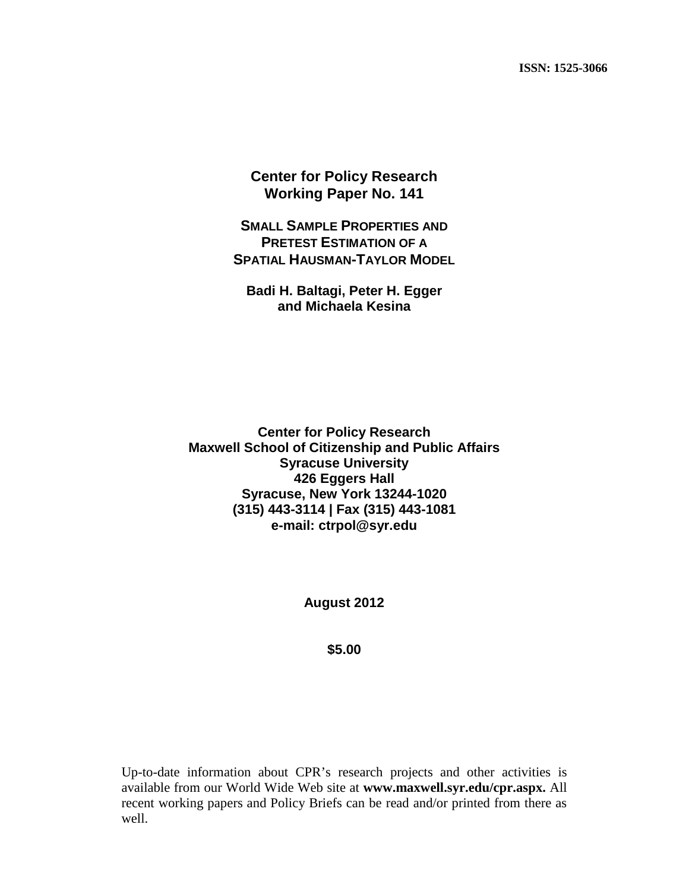**Center for Policy Research Working Paper No. 141**

**SMALL SAMPLE PROPERTIES AND PRETEST ESTIMATION OF A SPATIAL HAUSMAN-TAYLOR MODEL**

**Badi H. Baltagi, Peter H. Egger and Michaela Kesina**

**Center for Policy Research Maxwell School of Citizenship and Public Affairs Syracuse University 426 Eggers Hall Syracuse, New York 13244-1020 (315) 443-3114 | Fax (315) 443-1081 e-mail: ctrpol@syr.edu**

**August 2012**

**\$5.00**

Up-to-date information about CPR's research projects and other activities is available from our World Wide Web site at **www.maxwell.syr.edu/cpr.aspx.** All recent working papers and Policy Briefs can be read and/or printed from there as well.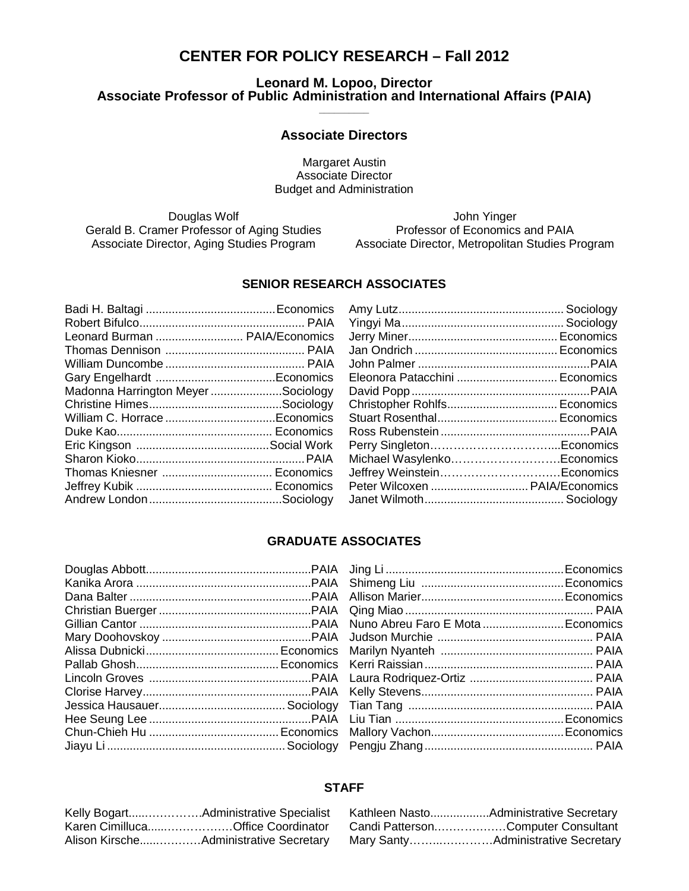### **CENTER FOR POLICY RESEARCH – Fall 2012**

#### **Leonard M. Lopoo, Director Associate Professor of Public Administration and International Affairs (PAIA) \_\_\_\_\_\_\_\_\_\_**

#### **Associate Directors**

Margaret Austin Associate Director Budget and Administration

Gerald B. Cramer Professor of Aging Studies

Douglas Wolf<br>
Douglas Wolf (John Yinger<br>
Professor of Economics and PAIA Associate Director, Aging Studies Program Associate Director, Metropolitan Studies Program

#### **SENIOR RESEARCH ASSOCIATES**

| Leonard Burman  PAIA/Economics    |  |
|-----------------------------------|--|
|                                   |  |
|                                   |  |
|                                   |  |
| Madonna Harrington MeyerSociology |  |
|                                   |  |
|                                   |  |
|                                   |  |
|                                   |  |
|                                   |  |
|                                   |  |
|                                   |  |
|                                   |  |
|                                   |  |

| Eleonora Patacchini  Economics |  |
|--------------------------------|--|
|                                |  |
| Christopher Rohlfs Economics   |  |
|                                |  |
|                                |  |
|                                |  |
| Michael WasylenkoEconomics     |  |
| Jeffrey WeinsteinEconomics     |  |
| Peter Wilcoxen  PAIA/Economics |  |
|                                |  |
|                                |  |

#### **GRADUATE ASSOCIATES**

#### **STAFF**

| Karen CimillucaOffice Coordinator |
|-----------------------------------|
|                                   |

| Candi PattersonComputer Consultant |
|------------------------------------|
|                                    |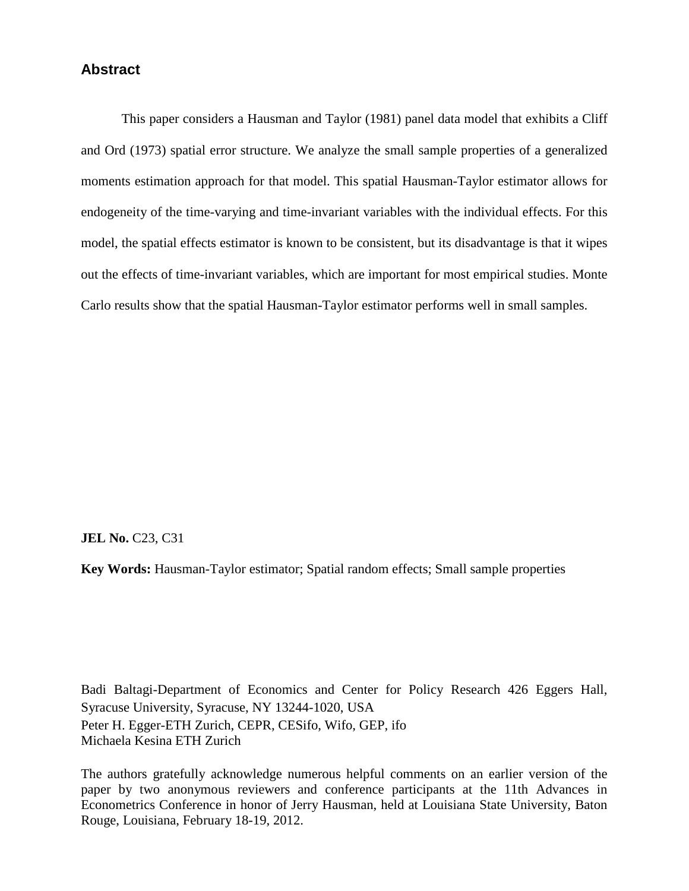### **Abstract**

This paper considers a Hausman and Taylor (1981) panel data model that exhibits a Cliff and Ord (1973) spatial error structure. We analyze the small sample properties of a generalized moments estimation approach for that model. This spatial Hausman-Taylor estimator allows for endogeneity of the time-varying and time-invariant variables with the individual effects. For this model, the spatial effects estimator is known to be consistent, but its disadvantage is that it wipes out the effects of time-invariant variables, which are important for most empirical studies. Monte Carlo results show that the spatial Hausman-Taylor estimator performs well in small samples.

**JEL No. C23, C31** 

**Key Words:** Hausman-Taylor estimator; Spatial random effects; Small sample properties

Badi Baltagi-Department of Economics and Center for Policy Research 426 Eggers Hall, Syracuse University, Syracuse, NY 13244-1020, USA Peter H. Egger-ETH Zurich, CEPR, CESifo, Wifo, GEP, ifo Michaela Kesina ETH Zurich

The authors gratefully acknowledge numerous helpful comments on an earlier version of the paper by two anonymous reviewers and conference participants at the 11th Advances in Econometrics Conference in honor of Jerry Hausman, held at Louisiana State University, Baton Rouge, Louisiana, February 18-19, 2012.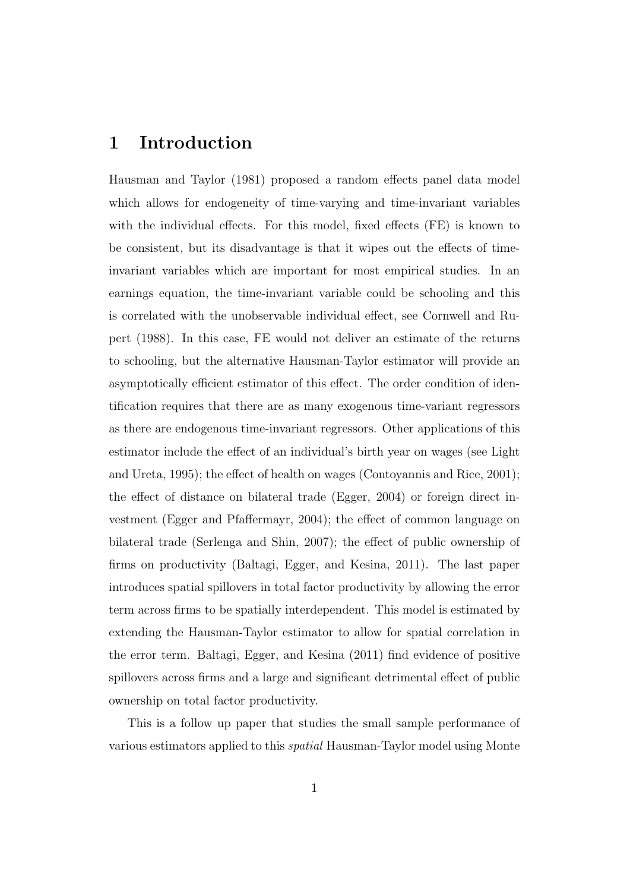### 1 Introduction

Hausman and Taylor (1981) proposed a random effects panel data model which allows for endogeneity of time-varying and time-invariant variables with the individual effects. For this model, fixed effects (FE) is known to be consistent, but its disadvantage is that it wipes out the effects of timeinvariant variables which are important for most empirical studies. In an earnings equation, the time-invariant variable could be schooling and this is correlated with the unobservable individual effect, see Cornwell and Rupert (1988). In this case, FE would not deliver an estimate of the returns to schooling, but the alternative Hausman-Taylor estimator will provide an asymptotically efficient estimator of this effect. The order condition of identification requires that there are as many exogenous time-variant regressors as there are endogenous time-invariant regressors. Other applications of this estimator include the effect of an individual's birth year on wages (see Light and Ureta, 1995); the effect of health on wages (Contoyannis and Rice, 2001); the effect of distance on bilateral trade (Egger, 2004) or foreign direct investment (Egger and Pfaffermayr, 2004); the effect of common language on bilateral trade (Serlenga and Shin, 2007); the effect of public ownership of firms on productivity (Baltagi, Egger, and Kesina, 2011). The last paper introduces spatial spillovers in total factor productivity by allowing the error term across firms to be spatially interdependent. This model is estimated by extending the Hausman-Taylor estimator to allow for spatial correlation in the error term. Baltagi, Egger, and Kesina (2011) find evidence of positive spillovers across firms and a large and significant detrimental effect of public ownership on total factor productivity.

This is a follow up paper that studies the small sample performance of various estimators applied to this spatial Hausman-Taylor model using Monte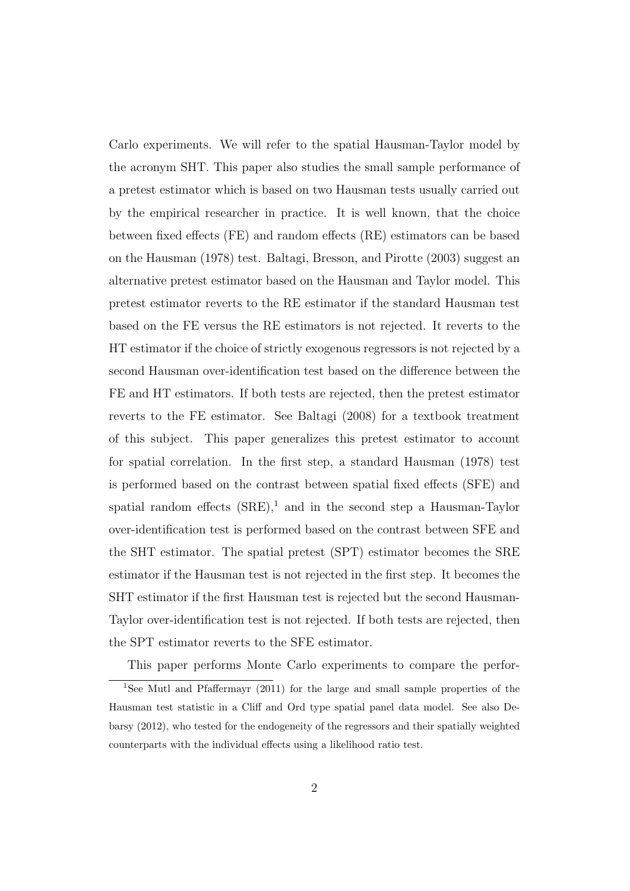Carlo experiments. We will refer to the spatial Hausman-Taylor model by the acronym SHT. This paper also studies the small sample performance of a pretest estimator which is based on two Hausman tests usually carried out by the empirical researcher in practice. It is well known, that the choice between fixed effects (FE) and random effects (RE) estimators can be based on the Hausman (1978) test. Baltagi, Bresson, and Pirotte (2003) suggest an alternative pretest estimator based on the Hausman and Taylor model. This pretest estimator reverts to the RE estimator if the standard Hausman test based on the FE versus the RE estimators is not rejected. It reverts to the HT estimator if the choice of strictly exogenous regressors is not rejected by a second Hausman over-identification test based on the difference between the FE and HT estimators. If both tests are rejected, then the pretest estimator reverts to the FE estimator. See Baltagi (2008) for a textbook treatment of this subject. This paper generalizes this pretest estimator to account for spatial correlation. In the first step, a standard Hausman (1978) test is performed based on the contrast between spatial fixed effects (SFE) and spatial random effects  $(SRE)^1$  and in the second step a Hausman-Taylor over-identification test is performed based on the contrast between SFE and the SHT estimator. The spatial pretest (SPT) estimator becomes the SRE estimator if the Hausman test is not rejected in the first step. It becomes the SHT estimator if the first Hausman test is rejected but the second Hausman-Taylor over-identification test is not rejected. If both tests are rejected, then the SPT estimator reverts to the SFE estimator.

This paper performs Monte Carlo experiments to compare the perfor-

<sup>&</sup>lt;sup>1</sup>See Mutl and Pfaffermayr (2011) for the large and small sample properties of the Hausman test statistic in a Cliff and Ord type spatial panel data model. See also Debarsy (2012), who tested for the endogeneity of the regressors and their spatially weighted counterparts with the individual effects using a likelihood ratio test.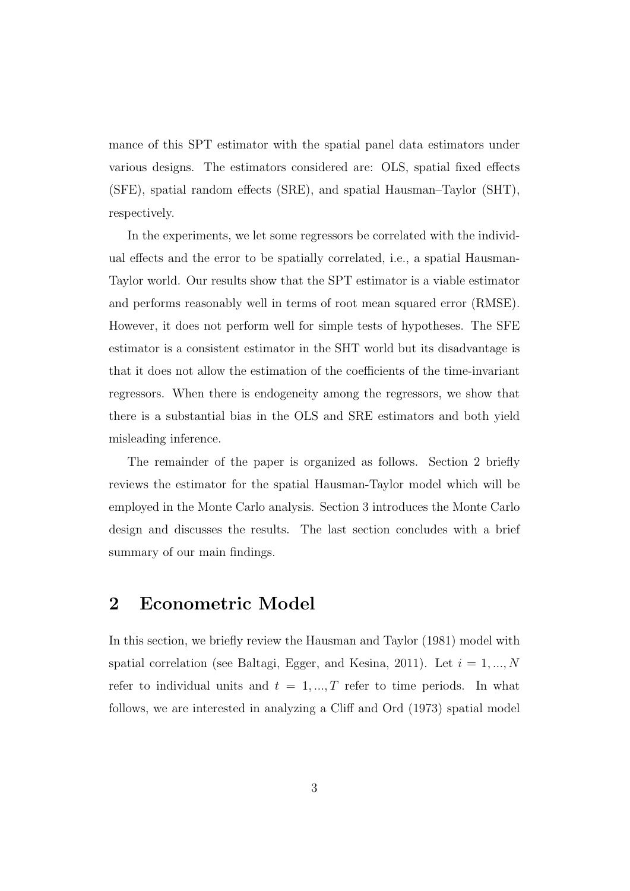mance of this SPT estimator with the spatial panel data estimators under various designs. The estimators considered are: OLS, spatial fixed effects (SFE), spatial random effects (SRE), and spatial Hausman–Taylor (SHT), respectively.

In the experiments, we let some regressors be correlated with the individual effects and the error to be spatially correlated, i.e., a spatial Hausman-Taylor world. Our results show that the SPT estimator is a viable estimator and performs reasonably well in terms of root mean squared error (RMSE). However, it does not perform well for simple tests of hypotheses. The SFE estimator is a consistent estimator in the SHT world but its disadvantage is that it does not allow the estimation of the coefficients of the time-invariant regressors. When there is endogeneity among the regressors, we show that there is a substantial bias in the OLS and SRE estimators and both yield misleading inference.

The remainder of the paper is organized as follows. Section 2 briefly reviews the estimator for the spatial Hausman-Taylor model which will be employed in the Monte Carlo analysis. Section 3 introduces the Monte Carlo design and discusses the results. The last section concludes with a brief summary of our main findings.

### 2 Econometric Model

In this section, we briefly review the Hausman and Taylor (1981) model with spatial correlation (see Baltagi, Egger, and Kesina, 2011). Let  $i = 1, ..., N$ refer to individual units and  $t = 1, ..., T$  refer to time periods. In what follows, we are interested in analyzing a Cliff and Ord (1973) spatial model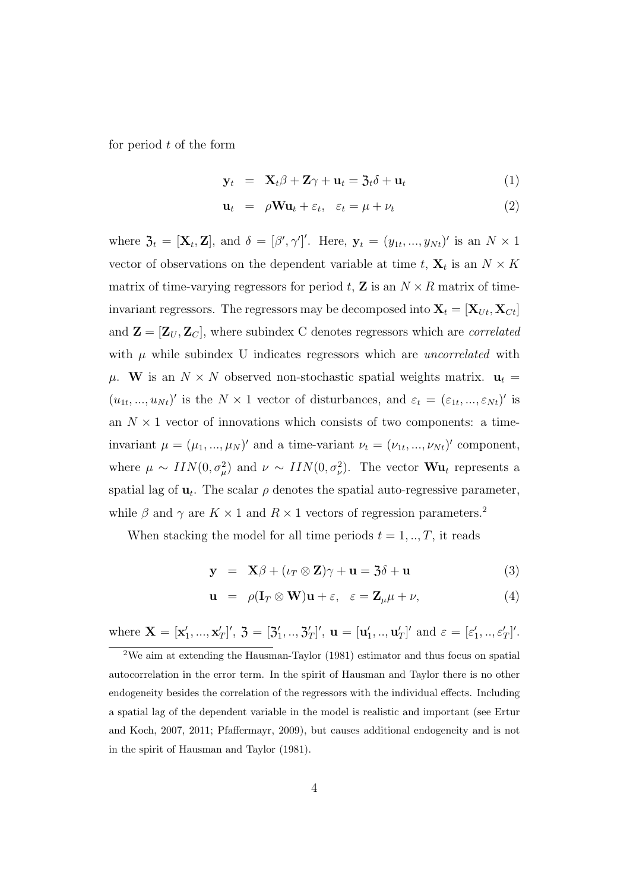for period  $t$  of the form

$$
\mathbf{y}_t = \mathbf{X}_t \boldsymbol{\beta} + \mathbf{Z} \boldsymbol{\gamma} + \mathbf{u}_t = \mathbf{3}_t \boldsymbol{\delta} + \mathbf{u}_t \tag{1}
$$

$$
\mathbf{u}_t = \rho \mathbf{W} \mathbf{u}_t + \varepsilon_t, \quad \varepsilon_t = \mu + \nu_t \tag{2}
$$

where  $\mathfrak{Z}_t = [\mathbf{X}_t, \mathbf{Z}]$ , and  $\delta = [\beta', \gamma']'$ . Here,  $\mathbf{y}_t = (y_{1t}, ..., y_{Nt})'$  is an  $N \times 1$ vector of observations on the dependent variable at time  $t, X_t$  is an  $N \times K$ matrix of time-varying regressors for period t, **Z** is an  $N \times R$  matrix of timeinvariant regressors. The regressors may be decomposed into  $\mathbf{X}_t = [\mathbf{X}_{Ut}, \mathbf{X}_{Ct}]$ and  $\mathbf{Z} = [\mathbf{Z}_U, \mathbf{Z}_C]$ , where subindex C denotes regressors which are *correlated* with  $\mu$  while subindex U indicates regressors which are *uncorrelated* with  $\mu$ . W is an  $N \times N$  observed non-stochastic spatial weights matrix.  $\mathbf{u}_t =$  $(u_{1t},...,u_{Nt})'$  is the  $N \times 1$  vector of disturbances, and  $\varepsilon_t = (\varepsilon_{1t},...,\varepsilon_{Nt})'$  is an  $N \times 1$  vector of innovations which consists of two components: a timeinvariant  $\mu = (\mu_1, ..., \mu_N)'$  and a time-variant  $\nu_t = (\nu_{1t}, ..., \nu_{Nt})'$  component, where  $\mu \sim \text{IIN}(0, \sigma_{\mu}^2)$  and  $\nu \sim \text{IIN}(0, \sigma_{\nu}^2)$ . The vector  $\mathbf{W}\mathbf{u}_t$  represents a spatial lag of  $\mathbf{u}_t$ . The scalar  $\rho$  denotes the spatial auto-regressive parameter, while  $\beta$  and  $\gamma$  are  $K \times 1$  and  $R \times 1$  vectors of regression parameters.<sup>2</sup>

When stacking the model for all time periods  $t = 1, \ldots, T$ , it reads

$$
\mathbf{y} = \mathbf{X}\beta + (\iota_T \otimes \mathbf{Z})\gamma + \mathbf{u} = \mathbf{3}\delta + \mathbf{u}
$$
 (3)

$$
\mathbf{u} = \rho (\mathbf{I}_T \otimes \mathbf{W}) \mathbf{u} + \varepsilon, \quad \varepsilon = \mathbf{Z}_\mu \mu + \nu,
$$
 (4)

where  $\mathbf{X} = [\mathbf{x}'_1, ..., \mathbf{x}'_T]'$ ,  $\mathbf{\mathfrak{Z}} = [\mathbf{\mathfrak{Z}}'_1, ..., \mathbf{\mathfrak{Z}}'_T]'$ ,  $\mathbf{u} = [\mathbf{u}'_1, ..., \mathbf{u}'_T]'$  and  $\varepsilon = [\varepsilon'_1, ..., \varepsilon'_T]'$ .

<sup>2</sup>We aim at extending the Hausman-Taylor (1981) estimator and thus focus on spatial autocorrelation in the error term. In the spirit of Hausman and Taylor there is no other endogeneity besides the correlation of the regressors with the individual effects. Including a spatial lag of the dependent variable in the model is realistic and important (see Ertur and Koch, 2007, 2011; Pfaffermayr, 2009), but causes additional endogeneity and is not in the spirit of Hausman and Taylor (1981).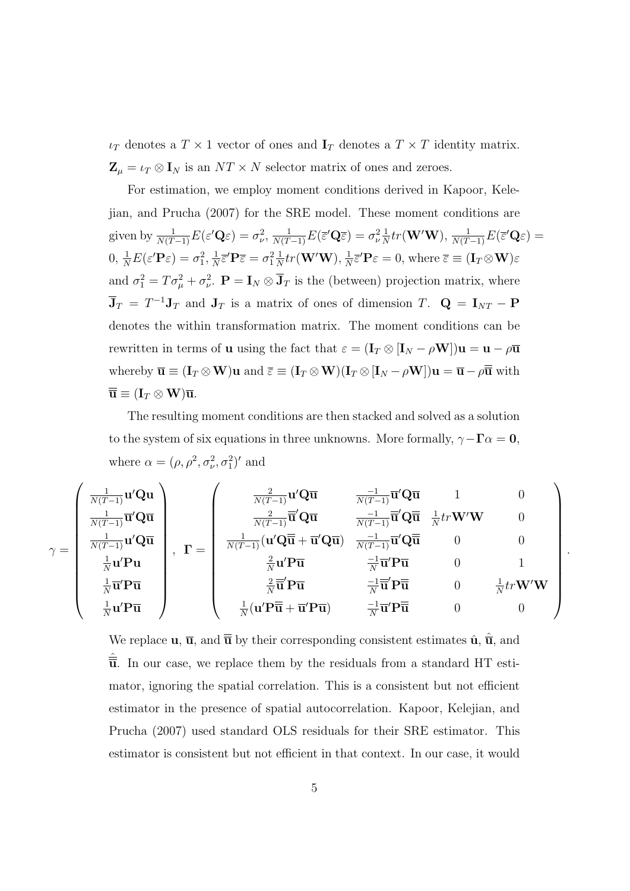$\iota_T$  denotes a  $T \times 1$  vector of ones and  $\mathbf{I}_T$  denotes a  $T \times T$  identity matrix.  $\mathbf{Z}_{\mu} = \iota_T \otimes \mathbf{I}_N$  is an  $NT \times N$  selector matrix of ones and zeroes.

For estimation, we employ moment conditions derived in Kapoor, Kelejian, and Prucha (2007) for the SRE model. These moment conditions are given by  $\frac{1}{N(T-1)}E(\varepsilon'\mathbf{Q}\varepsilon)=\sigma_{\nu}^2, \frac{1}{N(T-1)}E(\overline{\varepsilon}'\mathbf{Q}\overline{\varepsilon})=\sigma_{\nu}^2\frac{1}{N}$  $\frac{1}{N} tr({\bf W}'{\bf W}), \frac{1}{N(T-1)} E(\bar{\varepsilon}' {\bf Q} \varepsilon) =$  $0, \frac{1}{N}E(\varepsilon'\mathbf{P}\varepsilon) = \sigma_1^2, \frac{1}{N}$  $\frac{1}{N} \overline{\varepsilon}' \mathbf{P} \overline{\varepsilon} = \sigma_1^2 \frac{1}{N}$  $\frac{1}{N} tr({\bf W}'{\bf W}), \frac{1}{N}$  $\frac{1}{N} \overline{\varepsilon}' \mathbf{P} \varepsilon = 0$ , where  $\overline{\varepsilon} \equiv (\mathbf{I}_T \otimes \mathbf{W}) \varepsilon$ and  $\sigma_1^2 = T\sigma_\mu^2 + \sigma_\nu^2$ .  $\mathbf{P} = \mathbf{I}_N \otimes \mathbf{\bar{J}}_T$  is the (between) projection matrix, where  $\overline{\mathbf{J}}_T = T^{-1} \mathbf{J}_T$  and  $\mathbf{J}_T$  is a matrix of ones of dimension T.  $\mathbf{Q} = \mathbf{I}_{NT} - \mathbf{P}$ denotes the within transformation matrix. The moment conditions can be rewritten in terms of **u** using the fact that  $\varepsilon = (\mathbf{I}_T \otimes [\mathbf{I}_N - \rho \mathbf{W}])\mathbf{u} = \mathbf{u} - \rho \overline{\mathbf{u}}$ whereby  $\overline{\mathbf{u}} \equiv (\mathbf{I}_T \otimes \mathbf{W})\mathbf{u}$  and  $\overline{\varepsilon} \equiv (\mathbf{I}_T \otimes \mathbf{W})(\mathbf{I}_T \otimes [\mathbf{I}_N - \rho \mathbf{W}])\mathbf{u} = \overline{\mathbf{u}} - \rho \overline{\overline{\mathbf{u}}}$  with  $\overline{\overline{\mathbf{u}}} \equiv (\mathbf{I}_T \otimes \mathbf{W}) \overline{\mathbf{u}}.$ 

The resulting moment conditions are then stacked and solved as a solution to the system of six equations in three unknowns. More formally,  $\gamma - \Gamma \alpha = 0$ , where  $\alpha = (\rho, \rho^2, \sigma_\nu^2, \sigma_1^2)'$  and

$$
\gamma = \left(\begin{array}{c} \frac{1}{N(T-1)}\mathbf{u}'\mathbf{Q}\mathbf{u} \\ \frac{1}{N(T-1)}\mathbf{\overline{u}}'\mathbf{Q}\mathbf{\overline{u}} \\ \frac{1}{N(T-1)}\mathbf{u}'\mathbf{Q}\mathbf{\overline{u}} \\ \frac{1}{N} \mathbf{u}'\mathbf{P}\mathbf{u} \\ \frac{1}{N}\mathbf{u}'\mathbf{P}\mathbf{\overline{u}} \end{array}\right), \quad \Gamma = \left(\begin{array}{ccc} \frac{2}{N(T-1)}\mathbf{u}'\mathbf{Q}\mathbf{\overline{u}} & \frac{-1}{N(T-1)}\mathbf{\overline{u}}'\mathbf{Q}\mathbf{\overline{u}} & 1 & 0 \\ \frac{2}{N(T-1)}\mathbf{\overline{u}}'\mathbf{Q}\mathbf{\overline{u}} & \frac{-1}{N(T-1)}\mathbf{\overline{u}}'\mathbf{Q}\mathbf{\overline{u}} & \frac{1}{N}tr\mathbf{W}'\mathbf{W} & 0 \\ \frac{1}{N}\mathbf{u}'\mathbf{P}\mathbf{u} & \frac{1}{N}\mathbf{u}'\mathbf{P}\mathbf{\overline{u}} & \frac{-1}{N}\mathbf{\overline{u}}'\mathbf{Q}\mathbf{\overline{u}} & 0 & 0 \\ \frac{2}{N}\mathbf{\overline{u}}'\mathbf{P}\mathbf{\overline{u}} & \frac{-1}{N}\mathbf{\overline{u}}'\mathbf{P}\mathbf{\overline{u}} & 0 & 1 \\ \frac{2}{N}\mathbf{\overline{u}}'\mathbf{P}\mathbf{\overline{u}} & \frac{-1}{N}\mathbf{\overline{u}}'\mathbf{P}\mathbf{\overline{u}} & 0 & \frac{1}{N}tr\mathbf{W}'\mathbf{W} \\ \frac{1}{N}\mathbf{u}'\mathbf{P}\mathbf{\overline{u}} & \frac{1}{N}\mathbf{\overline{u}}'\mathbf{P}\mathbf{\overline{u}} & 0 & \frac{1}{N}tr\mathbf{W}'\mathbf{W} \\ \frac{1}{N}\mathbf{u}'\mathbf{P}\mathbf{\overline{u}} & \frac{1}{N}(\mathbf{u}'\mathbf{P}\mathbf{\overline{u}}+\mathbf{\overline{u}}'\mathbf{P}\mathbf{\overline{u}}) & \frac{-1}{N}\mathbf{\overline{u}}'\mathbf{P}\mathbf
$$

We replace  $\bf{u}, \bar{\bf{u}},$  and  $\bf{\bar{\bar{u}}}$  by their corresponding consistent estimates  $\hat{\bf{u}}, \hat{\bf{u}},$  and  $\overline{\overline{\mathbf{u}}}$ . In our case, we replace them by the residuals from a standard HT estimator, ignoring the spatial correlation. This is a consistent but not efficient estimator in the presence of spatial autocorrelation. Kapoor, Kelejian, and Prucha (2007) used standard OLS residuals for their SRE estimator. This estimator is consistent but not efficient in that context. In our case, it would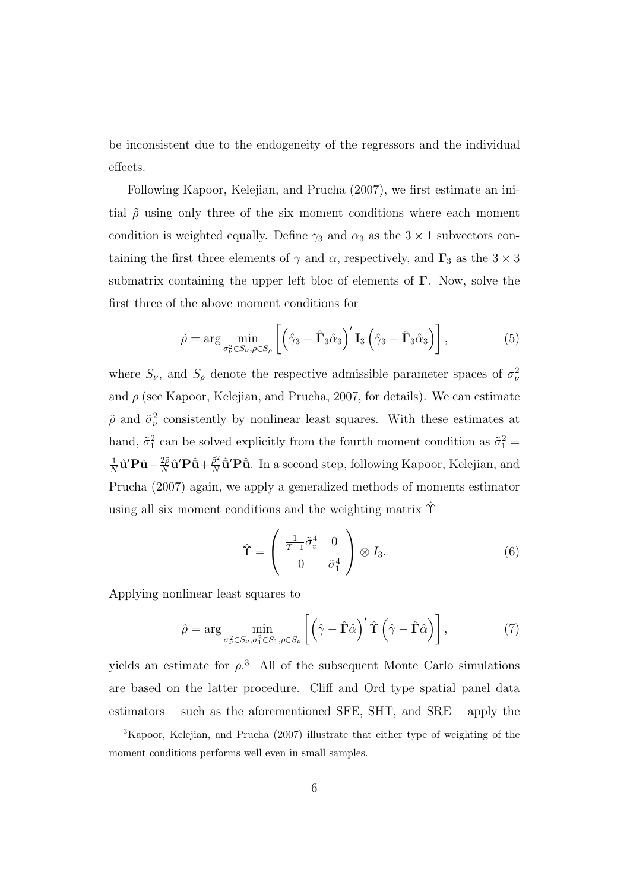be inconsistent due to the endogeneity of the regressors and the individual effects.

Following Kapoor, Kelejian, and Prucha (2007), we first estimate an initial  $\tilde{\rho}$  using only three of the six moment conditions where each moment condition is weighted equally. Define  $\gamma_3$  and  $\alpha_3$  as the  $3 \times 1$  subvectors containing the first three elements of  $\gamma$  and  $\alpha$ , respectively, and  $\Gamma_3$  as the  $3 \times 3$ submatrix containing the upper left bloc of elements of  $\Gamma$ . Now, solve the first three of the above moment conditions for

$$
\tilde{\rho} = \arg \min_{\sigma_{\nu}^2 \in S_{\nu}, \rho \in S_{\rho}} \left[ \left( \hat{\gamma}_3 - \hat{\mathbf{\Gamma}}_3 \hat{\alpha}_3 \right)' \mathbf{I}_3 \left( \hat{\gamma}_3 - \hat{\mathbf{\Gamma}}_3 \hat{\alpha}_3 \right) \right], \tag{5}
$$

where  $S_{\nu}$ , and  $S_{\rho}$  denote the respective admissible parameter spaces of  $\sigma_{\nu}^2$ and  $\rho$  (see Kapoor, Kelejian, and Prucha, 2007, for details). We can estimate  $\tilde{\rho}$  and  $\tilde{\sigma}_{\nu}^2$  consistently by nonlinear least squares. With these estimates at hand,  $\tilde{\sigma}_1^2$  can be solved explicitly from the fourth moment condition as  $\tilde{\sigma}_1^2$  = 1  $\frac{1}{N} \hat{\mathbf{u}}' \mathbf{P} \hat{\mathbf{u}} - \frac{2\tilde{\rho}}{N}$  $\frac{2\tilde{\rho}}{N}\hat{\mathbf{u}}'\mathbf{P}\hat{\bar{\mathbf{u}}}+\frac{\tilde{\rho}^2}{N}$  $\frac{\tilde{\rho}^2}{N} \hat{\mathbf{u}}' \mathbf{P} \hat{\mathbf{u}}$ . In a second step, following Kapoor, Kelejian, and Prucha (2007) again, we apply a generalized methods of moments estimator using all six moment conditions and the weighting matrix  $\hat{\Upsilon}$ 

$$
\hat{\Upsilon} = \begin{pmatrix} \frac{1}{T-1}\tilde{\sigma}_v^4 & 0\\ 0 & \tilde{\sigma}_1^4 \end{pmatrix} \otimes I_3.
$$
 (6)

Applying nonlinear least squares to

$$
\hat{\rho} = \arg \min_{\sigma_{\nu}^2 \in S_{\nu}, \sigma_1^2 \in S_1, \rho \in S_{\rho}} \left[ \left( \hat{\gamma} - \hat{\Gamma} \hat{\alpha} \right)' \hat{\Upsilon} \left( \hat{\gamma} - \hat{\Gamma} \hat{\alpha} \right) \right], \tag{7}
$$

yields an estimate for  $\rho^3$ . All of the subsequent Monte Carlo simulations are based on the latter procedure. Cliff and Ord type spatial panel data estimators – such as the aforementioned SFE, SHT, and SRE – apply the

<sup>3</sup>Kapoor, Kelejian, and Prucha (2007) illustrate that either type of weighting of the moment conditions performs well even in small samples.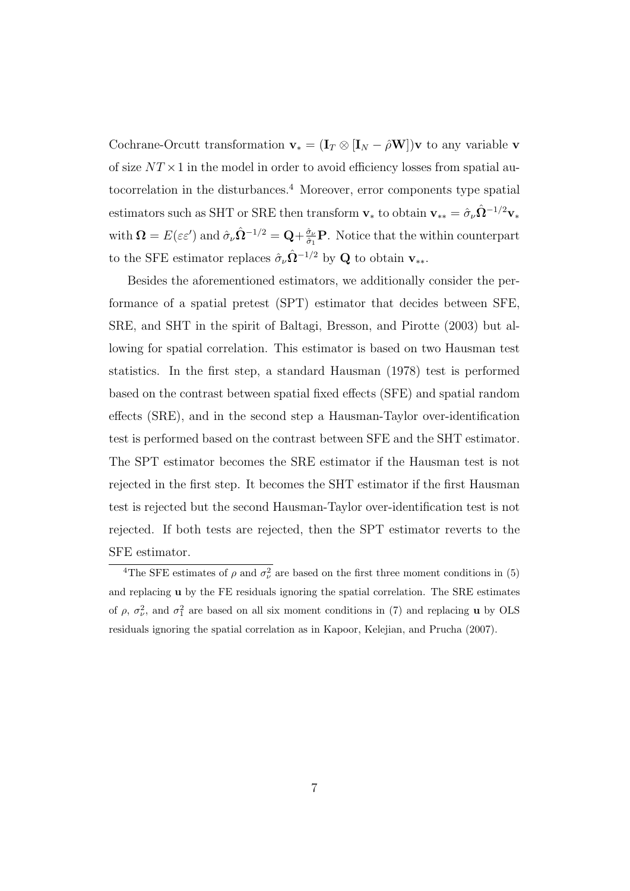Cochrane-Orcutt transformation  $\mathbf{v}_* = (\mathbf{I}_T \otimes [\mathbf{I}_N - \hat{\rho} \mathbf{W}])\mathbf{v}$  to any variable  $\mathbf{v}$ of size  $NT \times 1$  in the model in order to avoid efficiency losses from spatial autocorrelation in the disturbances.<sup>4</sup> Moreover, error components type spatial estimators such as SHT or SRE then transform  $v_*$  to obtain  $v_{**} = \hat{\sigma}_{\nu} \hat{\Omega}^{-1/2} v_*$ with  $\mathbf{\Omega} = E(\varepsilon \varepsilon')$  and  $\hat{\sigma}_{\nu} \hat{\mathbf{\Omega}}^{-1/2} = \mathbf{Q} + \frac{\hat{\sigma}_{\nu}}{\hat{\sigma}_{\nu}}$  $\frac{\partial \nu}{\partial \hat{i}}$ **P**. Notice that the within counterpart to the SFE estimator replaces  $\hat{\sigma}_{\nu} \hat{\Omega}^{-1/2}$  by Q to obtain  $v_{**}$ .

Besides the aforementioned estimators, we additionally consider the performance of a spatial pretest (SPT) estimator that decides between SFE, SRE, and SHT in the spirit of Baltagi, Bresson, and Pirotte (2003) but allowing for spatial correlation. This estimator is based on two Hausman test statistics. In the first step, a standard Hausman (1978) test is performed based on the contrast between spatial fixed effects (SFE) and spatial random effects (SRE), and in the second step a Hausman-Taylor over-identification test is performed based on the contrast between SFE and the SHT estimator. The SPT estimator becomes the SRE estimator if the Hausman test is not rejected in the first step. It becomes the SHT estimator if the first Hausman test is rejected but the second Hausman-Taylor over-identification test is not rejected. If both tests are rejected, then the SPT estimator reverts to the SFE estimator.

<sup>&</sup>lt;sup>4</sup>The SFE estimates of  $\rho$  and  $\sigma_{\nu}^2$  are based on the first three moment conditions in (5) and replacing u by the FE residuals ignoring the spatial correlation. The SRE estimates of  $\rho$ ,  $\sigma_{\nu}^2$ , and  $\sigma_1^2$  are based on all six moment conditions in (7) and replacing **u** by OLS residuals ignoring the spatial correlation as in Kapoor, Kelejian, and Prucha (2007).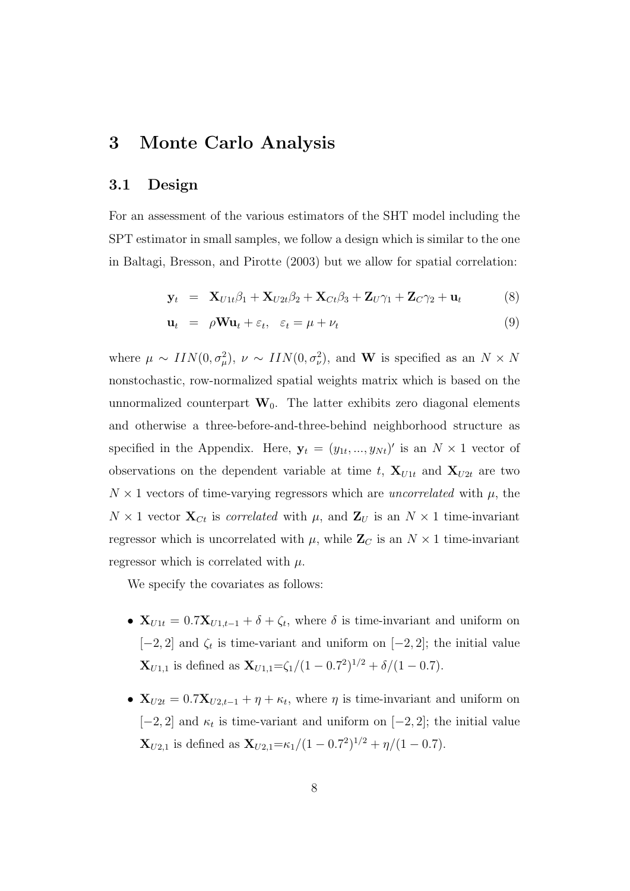### 3 Monte Carlo Analysis

### 3.1 Design

For an assessment of the various estimators of the SHT model including the SPT estimator in small samples, we follow a design which is similar to the one in Baltagi, Bresson, and Pirotte (2003) but we allow for spatial correlation:

$$
\mathbf{y}_t = \mathbf{X}_{U1t}\beta_1 + \mathbf{X}_{U2t}\beta_2 + \mathbf{X}_{Ct}\beta_3 + \mathbf{Z}_{U}\gamma_1 + \mathbf{Z}_{C}\gamma_2 + \mathbf{u}_t \tag{8}
$$

$$
\mathbf{u}_t = \rho \mathbf{W} \mathbf{u}_t + \varepsilon_t, \quad \varepsilon_t = \mu + \nu_t \tag{9}
$$

where  $\mu \sim \text{IIN}(0, \sigma_{\mu}^2), \nu \sim \text{IIN}(0, \sigma_{\nu}^2),$  and **W** is specified as an  $N \times N$ nonstochastic, row-normalized spatial weights matrix which is based on the unnormalized counterpart  $W_0$ . The latter exhibits zero diagonal elements and otherwise a three-before-and-three-behind neighborhood structure as specified in the Appendix. Here,  $\mathbf{y}_t = (y_{1t},..., y_{Nt})'$  is an  $N \times 1$  vector of observations on the dependent variable at time t,  $\mathbf{X}_{U1t}$  and  $\mathbf{X}_{U2t}$  are two  $N \times 1$  vectors of time-varying regressors which are *uncorrelated* with  $\mu$ , the  $N \times 1$  vector  $\mathbf{X}_{C_t}$  is correlated with  $\mu$ , and  $\mathbf{Z}_U$  is an  $N \times 1$  time-invariant regressor which is uncorrelated with  $\mu$ , while  $\mathbb{Z}_C$  is an  $N \times 1$  time-invariant regressor which is correlated with  $\mu$ .

We specify the covariates as follows:

- $X_{U1t} = 0.7X_{U1,t-1} + \delta + \zeta_t$ , where  $\delta$  is time-invariant and uniform on  $[-2, 2]$  and  $\zeta_t$  is time-variant and uniform on  $[-2, 2]$ ; the initial value  $\mathbf{X}_{U1,1}$  is defined as  $\mathbf{X}_{U1,1} = \zeta_1/(1-0.7^2)^{1/2} + \delta/(1-0.7)$ .
- $X_{U2t} = 0.7X_{U2,t-1} + \eta + \kappa_t$ , where  $\eta$  is time-invariant and uniform on  $[-2, 2]$  and  $\kappa_t$  is time-variant and uniform on  $[-2, 2]$ ; the initial value  $\mathbf{X}_{U2,1}$  is defined as  $\mathbf{X}_{U2,1} = \kappa_1/(1 - 0.7^2)^{1/2} + \eta/(1 - 0.7)$ .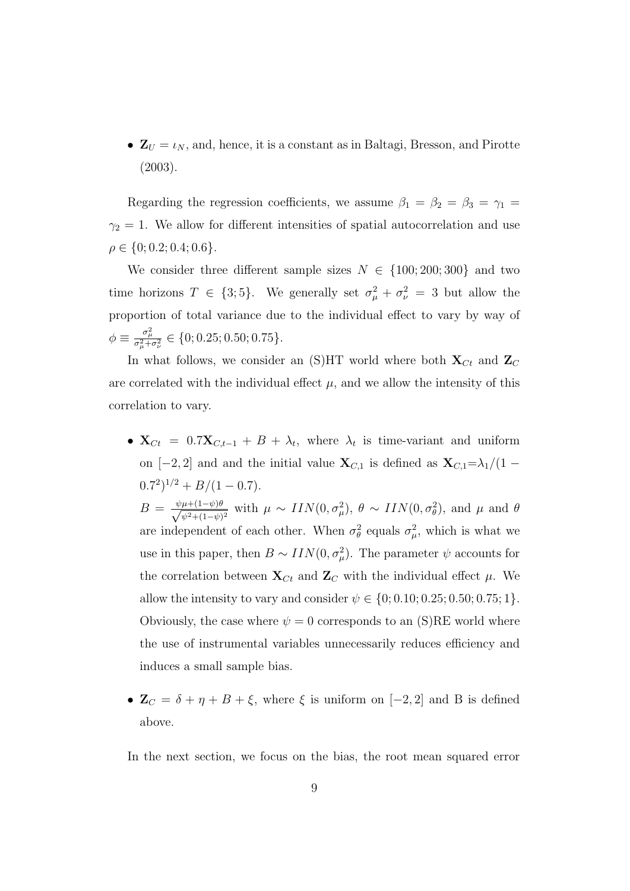•  $\mathbf{Z}_U = \iota_N$ , and, hence, it is a constant as in Baltagi, Bresson, and Pirotte (2003).

Regarding the regression coefficients, we assume  $\beta_1 = \beta_2 = \beta_3 = \gamma_1$  $\gamma_2 = 1$ . We allow for different intensities of spatial autocorrelation and use  $\rho \in \{0; 0.2; 0.4; 0.6\}.$ 

We consider three different sample sizes  $N \in \{100; 200; 300\}$  and two time horizons  $T \in \{3, 5\}$ . We generally set  $\sigma_{\mu}^2 + \sigma_{\nu}^2 = 3$  but allow the proportion of total variance due to the individual effect to vary by way of  $\phi \equiv \frac{\sigma_\mu^2}{\sigma_\mu^2 + \sigma_\nu^2} \in \{0; 0.25; 0.50; 0.75\}.$ 

In what follows, we consider an (S)HT world where both  $\mathbf{X}_{C_t}$  and  $\mathbf{Z}_C$ are correlated with the individual effect  $\mu$ , and we allow the intensity of this correlation to vary.

- $X_{C_t} = 0.7X_{C_t-1} + B + \lambda_t$ , where  $\lambda_t$  is time-variant and uniform on [−2, 2] and and the initial value  $\mathbf{X}_{C,1}$  is defined as  $\mathbf{X}_{C,1}=\lambda_1/(1-\lambda_1)$  $(0.7<sup>2</sup>)<sup>1/2</sup> + B/(1 - 0.7).$  $B = \frac{\psi \mu + (1 - \psi) \theta}{\sqrt{2 \pi k}}$  $\frac{\mu+(1-\psi)\theta}{\psi^2+(1-\psi)^2}$  with  $\mu \sim \text{IIN}(0, \sigma_\mu^2), \theta \sim \text{IIN}(0, \sigma_\theta^2)$ , and  $\mu$  and  $\theta$ are independent of each other. When  $\sigma_{\theta}^2$  equals  $\sigma_{\mu}^2$ , which is what we use in this paper, then  $B \sim IIN(0, \sigma_{\mu}^2)$ . The parameter  $\psi$  accounts for the correlation between  $\mathbf{X}_{C_t}$  and  $\mathbf{Z}_C$  with the individual effect  $\mu$ . We allow the intensity to vary and consider  $\psi \in \{0, 0.10, 0.25, 0.50, 0.75, 1\}.$ Obviously, the case where  $\psi = 0$  corresponds to an (S)RE world where the use of instrumental variables unnecessarily reduces efficiency and induces a small sample bias.
- $\mathbf{Z}_C = \delta + \eta + B + \xi$ , where  $\xi$  is uniform on [−2, 2] and B is defined above.

In the next section, we focus on the bias, the root mean squared error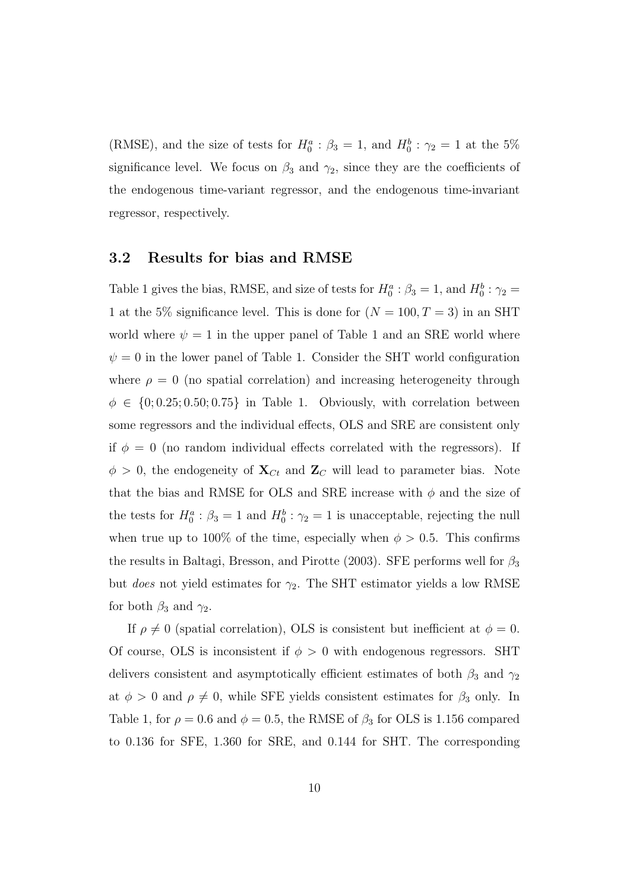(RMSE), and the size of tests for  $H_0^a$ :  $\beta_3 = 1$ , and  $H_0^b$ :  $\gamma_2 = 1$  at the 5% significance level. We focus on  $\beta_3$  and  $\gamma_2$ , since they are the coefficients of the endogenous time-variant regressor, and the endogenous time-invariant regressor, respectively.

#### 3.2 Results for bias and RMSE

Table 1 gives the bias, RMSE, and size of tests for  $H_0^a : \beta_3 = 1$ , and  $H_0^b : \gamma_2 =$ 1 at the 5% significance level. This is done for  $(N = 100, T = 3)$  in an SHT world where  $\psi = 1$  in the upper panel of Table 1 and an SRE world where  $\psi = 0$  in the lower panel of Table 1. Consider the SHT world configuration where  $\rho = 0$  (no spatial correlation) and increasing heterogeneity through  $\phi \in \{0, 0.25, 0.50, 0.75\}$  in Table 1. Obviously, with correlation between some regressors and the individual effects, OLS and SRE are consistent only if  $\phi = 0$  (no random individual effects correlated with the regressors). If  $\phi > 0$ , the endogeneity of  $\mathbf{X}_{C_t}$  and  $\mathbf{Z}_C$  will lead to parameter bias. Note that the bias and RMSE for OLS and SRE increase with  $\phi$  and the size of the tests for  $H_0^a: \beta_3 = 1$  and  $H_0^b: \gamma_2 = 1$  is unacceptable, rejecting the null when true up to 100% of the time, especially when  $\phi > 0.5$ . This confirms the results in Baltagi, Bresson, and Pirotte (2003). SFE performs well for  $\beta_3$ but *does* not yield estimates for  $\gamma_2$ . The SHT estimator yields a low RMSE for both  $\beta_3$  and  $\gamma_2$ .

If  $\rho \neq 0$  (spatial correlation), OLS is consistent but inefficient at  $\phi = 0$ . Of course, OLS is inconsistent if  $\phi > 0$  with endogenous regressors. SHT delivers consistent and asymptotically efficient estimates of both  $\beta_3$  and  $\gamma_2$ at  $\phi > 0$  and  $\rho \neq 0$ , while SFE yields consistent estimates for  $\beta_3$  only. In Table 1, for  $\rho = 0.6$  and  $\phi = 0.5$ , the RMSE of  $\beta_3$  for OLS is 1.156 compared to 0.136 for SFE, 1.360 for SRE, and 0.144 for SHT. The corresponding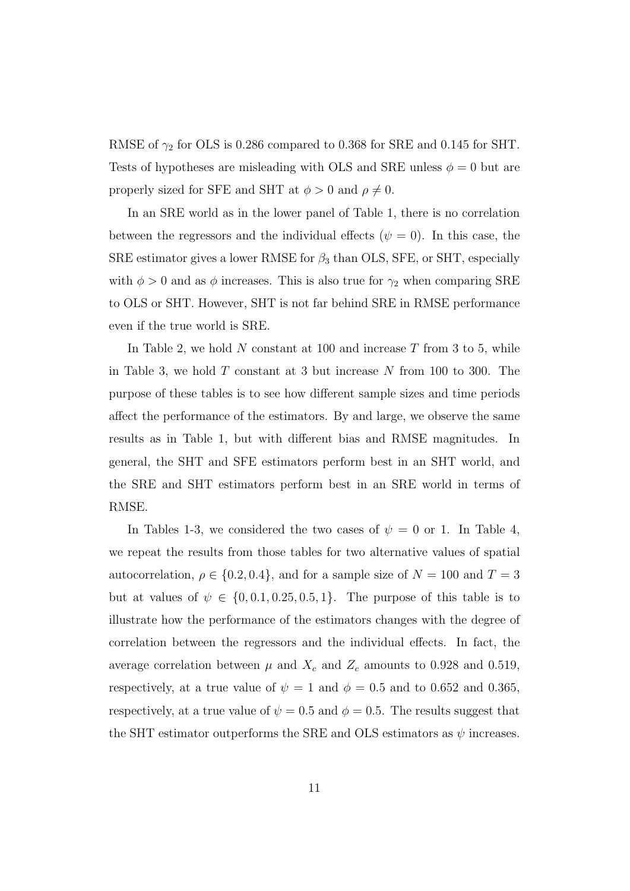RMSE of  $\gamma_2$  for OLS is 0.286 compared to 0.368 for SRE and 0.145 for SHT. Tests of hypotheses are misleading with OLS and SRE unless  $\phi = 0$  but are properly sized for SFE and SHT at  $\phi > 0$  and  $\rho \neq 0$ .

In an SRE world as in the lower panel of Table 1, there is no correlation between the regressors and the individual effects ( $\psi = 0$ ). In this case, the SRE estimator gives a lower RMSE for  $\beta_3$  than OLS, SFE, or SHT, especially with  $\phi > 0$  and as  $\phi$  increases. This is also true for  $\gamma_2$  when comparing SRE to OLS or SHT. However, SHT is not far behind SRE in RMSE performance even if the true world is SRE.

In Table 2, we hold  $N$  constant at 100 and increase  $T$  from 3 to 5, while in Table 3, we hold  $T$  constant at 3 but increase  $N$  from 100 to 300. The purpose of these tables is to see how different sample sizes and time periods affect the performance of the estimators. By and large, we observe the same results as in Table 1, but with different bias and RMSE magnitudes. In general, the SHT and SFE estimators perform best in an SHT world, and the SRE and SHT estimators perform best in an SRE world in terms of RMSE.

In Tables 1-3, we considered the two cases of  $\psi = 0$  or 1. In Table 4, we repeat the results from those tables for two alternative values of spatial autocorrelation,  $\rho \in \{0.2, 0.4\}$ , and for a sample size of  $N = 100$  and  $T = 3$ but at values of  $\psi \in \{0, 0.1, 0.25, 0.5, 1\}$ . The purpose of this table is to illustrate how the performance of the estimators changes with the degree of correlation between the regressors and the individual effects. In fact, the average correlation between  $\mu$  and  $X_c$  and  $Z_c$  amounts to 0.928 and 0.519, respectively, at a true value of  $\psi = 1$  and  $\phi = 0.5$  and to 0.652 and 0.365, respectively, at a true value of  $\psi = 0.5$  and  $\phi = 0.5$ . The results suggest that the SHT estimator outperforms the SRE and OLS estimators as  $\psi$  increases.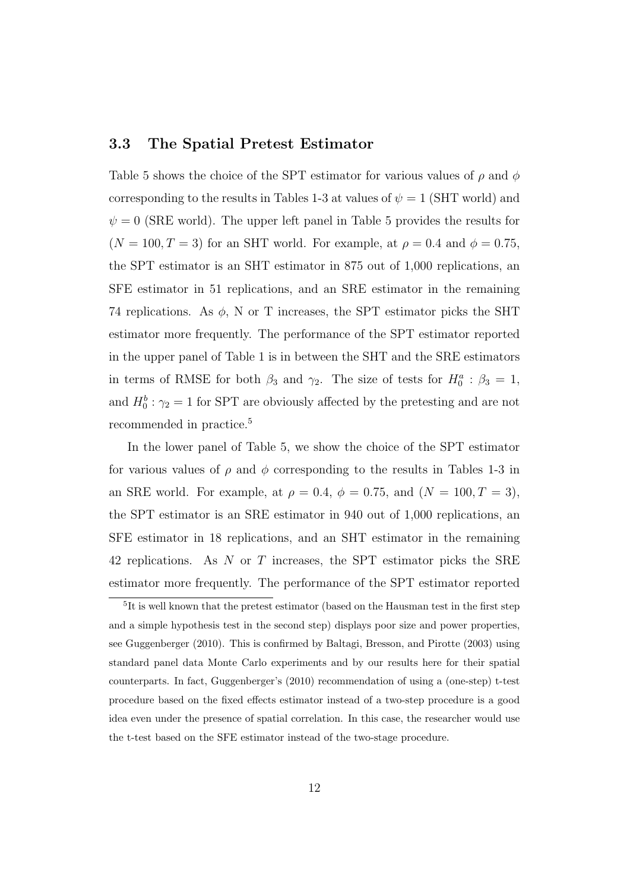### 3.3 The Spatial Pretest Estimator

Table 5 shows the choice of the SPT estimator for various values of  $\rho$  and  $\phi$ corresponding to the results in Tables 1-3 at values of  $\psi = 1$  (SHT world) and  $\psi = 0$  (SRE world). The upper left panel in Table 5 provides the results for  $(N = 100, T = 3)$  for an SHT world. For example, at  $\rho = 0.4$  and  $\phi = 0.75$ , the SPT estimator is an SHT estimator in 875 out of 1,000 replications, an SFE estimator in 51 replications, and an SRE estimator in the remaining 74 replications. As  $\phi$ , N or T increases, the SPT estimator picks the SHT estimator more frequently. The performance of the SPT estimator reported in the upper panel of Table 1 is in between the SHT and the SRE estimators in terms of RMSE for both  $\beta_3$  and  $\gamma_2$ . The size of tests for  $H_0^a$ :  $\beta_3 = 1$ , and  $H_0^b: \gamma_2 = 1$  for SPT are obviously affected by the pretesting and are not recommended in practice.<sup>5</sup>

In the lower panel of Table 5, we show the choice of the SPT estimator for various values of  $\rho$  and  $\phi$  corresponding to the results in Tables 1-3 in an SRE world. For example, at  $\rho = 0.4$ ,  $\phi = 0.75$ , and  $(N = 100, T = 3)$ , the SPT estimator is an SRE estimator in 940 out of 1,000 replications, an SFE estimator in 18 replications, and an SHT estimator in the remaining 42 replications. As  $N$  or  $T$  increases, the SPT estimator picks the SRE estimator more frequently. The performance of the SPT estimator reported

<sup>&</sup>lt;sup>5</sup>It is well known that the pretest estimator (based on the Hausman test in the first step and a simple hypothesis test in the second step) displays poor size and power properties, see Guggenberger (2010). This is confirmed by Baltagi, Bresson, and Pirotte (2003) using standard panel data Monte Carlo experiments and by our results here for their spatial counterparts. In fact, Guggenberger's (2010) recommendation of using a (one-step) t-test procedure based on the fixed effects estimator instead of a two-step procedure is a good idea even under the presence of spatial correlation. In this case, the researcher would use the t-test based on the SFE estimator instead of the two-stage procedure.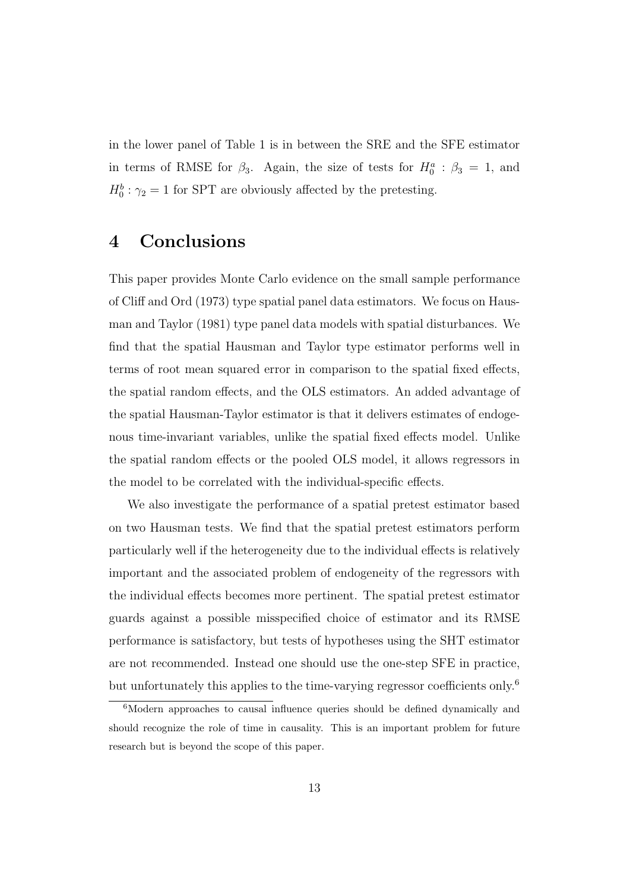in the lower panel of Table 1 is in between the SRE and the SFE estimator in terms of RMSE for  $\beta_3$ . Again, the size of tests for  $H_0^a$ :  $\beta_3 = 1$ , and  $H_0^b$ :  $\gamma_2 = 1$  for SPT are obviously affected by the pretesting.

### 4 Conclusions

This paper provides Monte Carlo evidence on the small sample performance of Cliff and Ord (1973) type spatial panel data estimators. We focus on Hausman and Taylor (1981) type panel data models with spatial disturbances. We find that the spatial Hausman and Taylor type estimator performs well in terms of root mean squared error in comparison to the spatial fixed effects, the spatial random effects, and the OLS estimators. An added advantage of the spatial Hausman-Taylor estimator is that it delivers estimates of endogenous time-invariant variables, unlike the spatial fixed effects model. Unlike the spatial random effects or the pooled OLS model, it allows regressors in the model to be correlated with the individual-specific effects.

We also investigate the performance of a spatial pretest estimator based on two Hausman tests. We find that the spatial pretest estimators perform particularly well if the heterogeneity due to the individual effects is relatively important and the associated problem of endogeneity of the regressors with the individual effects becomes more pertinent. The spatial pretest estimator guards against a possible misspecified choice of estimator and its RMSE performance is satisfactory, but tests of hypotheses using the SHT estimator are not recommended. Instead one should use the one-step SFE in practice, but unfortunately this applies to the time-varying regressor coefficients only.<sup>6</sup>

<sup>&</sup>lt;sup>6</sup>Modern approaches to causal influence queries should be defined dynamically and should recognize the role of time in causality. This is an important problem for future research but is beyond the scope of this paper.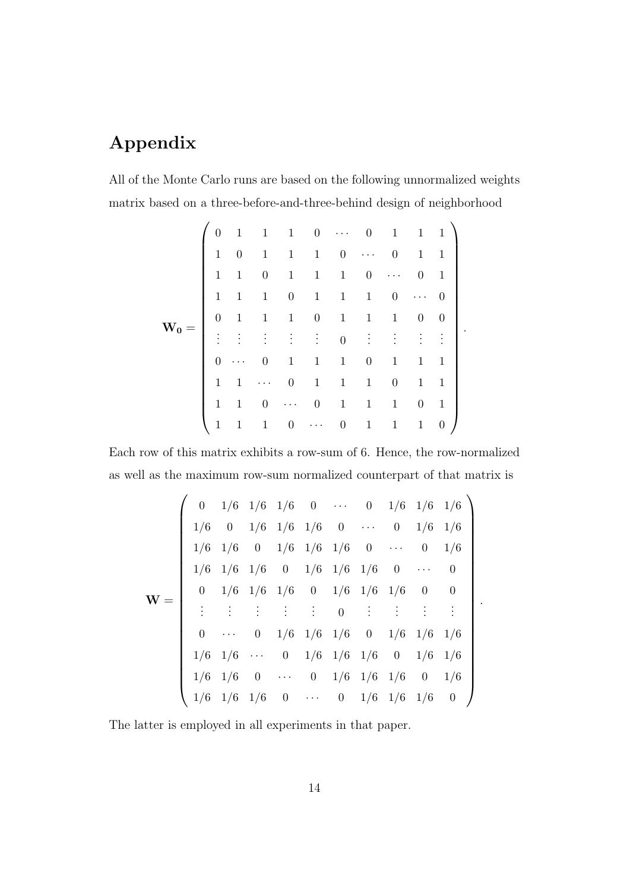## Appendix

All of the Monte Carlo runs are based on the following unnormalized weights matrix based on a three-before-and-three-behind design of neighborhood

$$
\mathbf{W_0} = \left( \begin{array}{cccccccccccc} 0 & 1 & 1 & 1 & 0 & \cdots & 0 & 1 & 1 & 1 \\ 1 & 0 & 1 & 1 & 1 & 0 & \cdots & 0 & 1 & 1 \\ 1 & 1 & 0 & 1 & 1 & 1 & 0 & \cdots & 0 & 1 \\ 1 & 1 & 1 & 0 & 1 & 1 & 1 & 0 & \cdots & 0 \\ 0 & 1 & 1 & 1 & 0 & 1 & 1 & 1 & 0 & 0 \\ \vdots & \vdots & \vdots & \vdots & \vdots & \vdots & 0 & \vdots & \vdots & \vdots & \vdots \\ 0 & \cdots & 0 & 1 & 1 & 1 & 0 & 1 & 1 & 1 \\ 1 & 1 & \cdots & 0 & 1 & 1 & 1 & 0 & 1 & 1 \\ 1 & 1 & 0 & \cdots & 0 & 1 & 1 & 1 & 0 & 1 \\ 1 & 1 & 1 & 0 & \cdots & 0 & 1 & 1 & 1 & 0 \end{array} \right)
$$

.

Each row of this matrix exhibits a row-sum of 6. Hence, the row-normalized as well as the maximum row-sum normalized counterpart of that matrix is

$$
\mathbf{W} = \left( \begin{array}{ccccccccccc} 0 & 1/6 & 1/6 & 1/6 & 0 & \cdots & 0 & 1/6 & 1/6 & 1/6 \\ 1/6 & 0 & 1/6 & 1/6 & 1/6 & 0 & \cdots & 0 & 1/6 & 1/6 \\ 1/6 & 1/6 & 0 & 1/6 & 1/6 & 1/6 & 0 & \cdots & 0 & 1/6 \\ 1/6 & 1/6 & 1/6 & 0 & 1/6 & 1/6 & 1/6 & 0 & \cdots & 0 \\ 0 & 1/6 & 1/6 & 1/6 & 0 & 1/6 & 1/6 & 1/6 & 0 & 0 \\ \vdots & \vdots & \vdots & \vdots & \vdots & 0 & \vdots & \vdots & \vdots & \vdots \\ 0 & \cdots & 0 & 1/6 & 1/6 & 1/6 & 0 & 1/6 & 1/6 & 1/6 \\ 1/6 & 1/6 & \cdots & 0 & 1/6 & 1/6 & 1/6 & 0 & 1/6 \\ 1/6 & 1/6 & 0 & \cdots & 0 & 1/6 & 1/6 & 1/6 & 0 & 1/6 \\ 1/6 & 1/6 & 1/6 & 0 & \cdots & 0 & 1/6 & 1/6 & 1/6 & 0 \end{array} \right).
$$

The latter is employed in all experiments in that paper.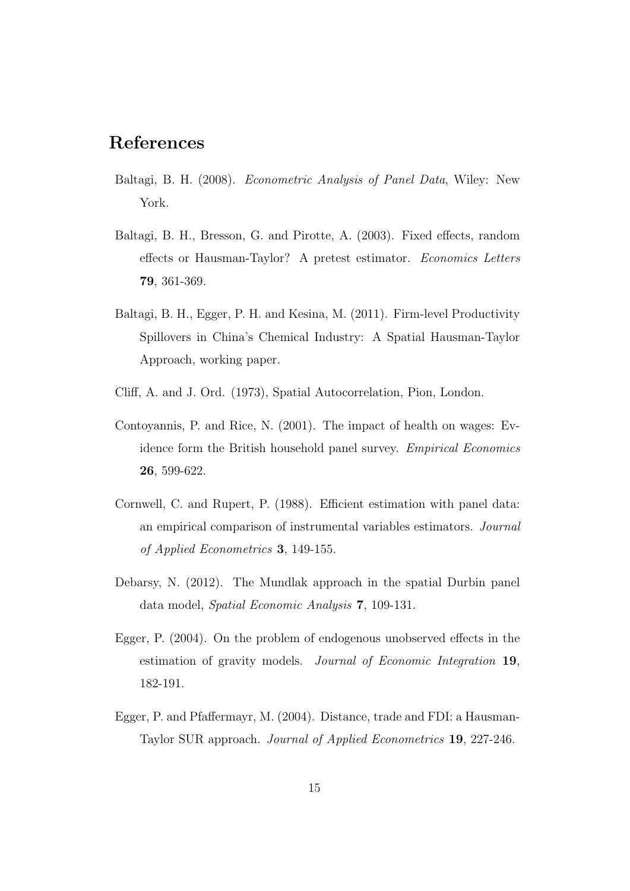## References

- Baltagi, B. H. (2008). Econometric Analysis of Panel Data, Wiley: New York.
- Baltagi, B. H., Bresson, G. and Pirotte, A. (2003). Fixed effects, random effects or Hausman-Taylor? A pretest estimator. Economics Letters 79, 361-369.
- Baltagi, B. H., Egger, P. H. and Kesina, M. (2011). Firm-level Productivity Spillovers in China's Chemical Industry: A Spatial Hausman-Taylor Approach, working paper.
- Cliff, A. and J. Ord. (1973), Spatial Autocorrelation, Pion, London.
- Contoyannis, P. and Rice, N. (2001). The impact of health on wages: Evidence form the British household panel survey. Empirical Economics 26, 599-622.
- Cornwell, C. and Rupert, P. (1988). Efficient estimation with panel data: an empirical comparison of instrumental variables estimators. Journal of Applied Econometrics 3, 149-155.
- Debarsy, N. (2012). The Mundlak approach in the spatial Durbin panel data model, Spatial Economic Analysis 7, 109-131.
- Egger, P. (2004). On the problem of endogenous unobserved effects in the estimation of gravity models. Journal of Economic Integration 19, 182-191.
- Egger, P. and Pfaffermayr, M. (2004). Distance, trade and FDI: a Hausman-Taylor SUR approach. Journal of Applied Econometrics 19, 227-246.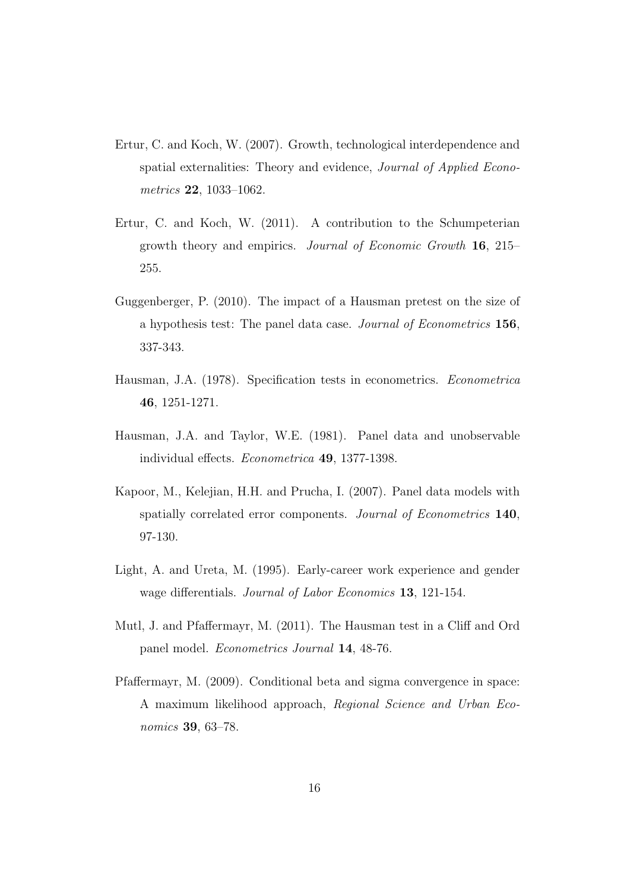- Ertur, C. and Koch, W. (2007). Growth, technological interdependence and spatial externalities: Theory and evidence, Journal of Applied Econometrics 22, 1033–1062.
- Ertur, C. and Koch, W. (2011). A contribution to the Schumpeterian growth theory and empirics. Journal of Economic Growth 16, 215– 255.
- Guggenberger, P. (2010). The impact of a Hausman pretest on the size of a hypothesis test: The panel data case. Journal of Econometrics 156, 337-343.
- Hausman, J.A. (1978). Specification tests in econometrics. Econometrica 46, 1251-1271.
- Hausman, J.A. and Taylor, W.E. (1981). Panel data and unobservable individual effects. Econometrica 49, 1377-1398.
- Kapoor, M., Kelejian, H.H. and Prucha, I. (2007). Panel data models with spatially correlated error components. Journal of Econometrics 140, 97-130.
- Light, A. and Ureta, M. (1995). Early-career work experience and gender wage differentials. Journal of Labor Economics 13, 121-154.
- Mutl, J. and Pfaffermayr, M. (2011). The Hausman test in a Cliff and Ord panel model. Econometrics Journal 14, 48-76.
- Pfaffermayr, M. (2009). Conditional beta and sigma convergence in space: A maximum likelihood approach, Regional Science and Urban Economics 39, 63–78.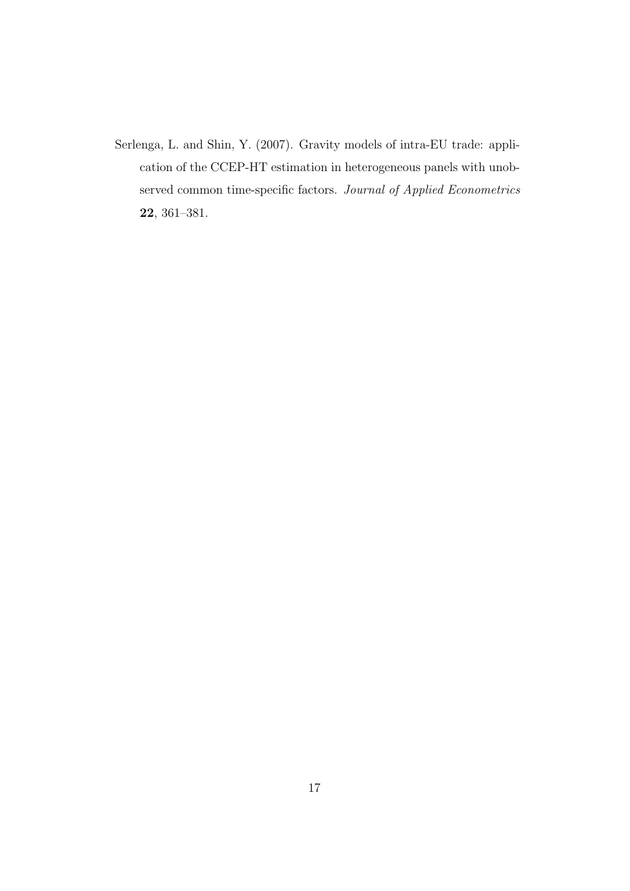Serlenga, L. and Shin, Y. (2007). Gravity models of intra-EU trade: application of the CCEP-HT estimation in heterogeneous panels with unobserved common time-specific factors. Journal of Applied Econometrics 22, 361–381.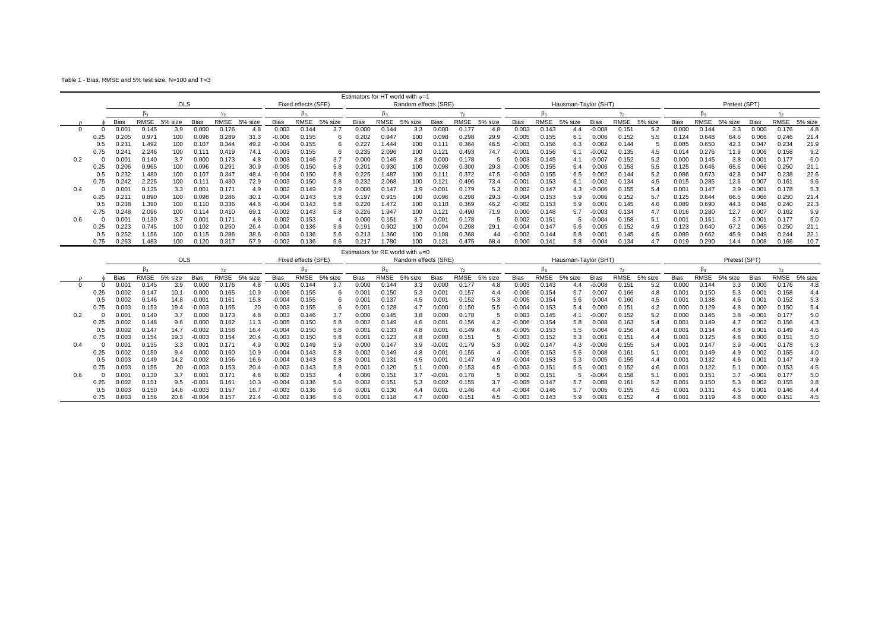Table 1 - Bias, RMSE and 5% test size, N=100 and T=3

|     |      |       |                |            |                |             |         |             |                     |         |             |       | Estimators for HT world with $v=1$ |             |       |         |             |             |                      |                   |              |         |             |       |               |                 |             |         |
|-----|------|-------|----------------|------------|----------------|-------------|---------|-------------|---------------------|---------|-------------|-------|------------------------------------|-------------|-------|---------|-------------|-------------|----------------------|-------------------|--------------|---------|-------------|-------|---------------|-----------------|-------------|---------|
|     |      |       |                | <b>OLS</b> |                |             |         |             | Fixed effects (SFE) |         |             |       | Random effects (SRE)               |             |       |         |             |             | Hausman-Taylor (SHT) |                   |              |         |             |       | Pretest (SPT) |                 |             |         |
|     |      |       |                |            |                |             |         |             |                     |         |             |       |                                    |             |       |         |             |             |                      |                   | $v_{\alpha}$ |         |             |       |               |                 |             |         |
|     |      | Bias  | RMSE           | 5% size    | <b>Bias</b>    | <b>RMSE</b> | 5% size | <b>Bias</b> | <b>RMSE</b>         | 5% size | <b>Bias</b> | RMSE  | 5% size                            | <b>Bias</b> | RMSE  | 5% size | <b>Bias</b> | <b>RMSE</b> | 5% size              | <b>Bias</b>       | RMSE         | 5% size | <b>Bias</b> | RMSE  | 5% size       | <b>Bias</b>     | <b>RMSE</b> | 5% size |
|     |      | 0.001 | በ 145          | 3.9        | 0.000          | 0.176       |         | 0.003       | 0.144               | 3.7     | 0.000       | 0.144 |                                    | 0.000       | 0.177 |         | 0.003       | 0.143       | 4.4                  | 0.008             | 0.151        | 5.2     | 0.000       | 0.144 | 3.3           | 0.000           | 0.176       | 4.8     |
|     | 0.25 | 0.205 | $0.97^{\circ}$ | 100        | 0.096          | 0.289       | 31.3    | $-0.006$    | 0.155               |         | 0.202       | 0.947 | 100                                | 0.098       | 0.298 | 29.9    | $-0.005$    | 0.155       | 6.1                  | 0.006             | 0.152        | 5.5     | 0.124       | 0.648 | 64.6          | 0.066           | 0.246       | 21.4    |
|     |      | 0.231 | .492           |            | $0.10^{1}$     | 0.344       | 49.2    | $-0.004$    | 0.155               |         | 0.227       | 1.444 | 100                                | 0.11'       | 0.364 | 46.5    | $-0.003$    | 0.156       | 6.3                  | 0.002             | 0.144        |         | 0.085       | 0.650 | 42.3          | 0.047           | 0.234       | 21.9    |
|     | 0.75 | 0.241 | 2.246          |            |                | 0.419       | 74.1    | 0.003       | 0.155               |         | 0.235       | 2.096 | 100                                | $0.12^{i}$  | 0.493 | 74.7    | $-0.001$    | 0.156       | 6.1                  | $-0.002$          | 0.135        | 4.5     | 0.014       | 0.276 | 11.9          | 0.006           | 0.158       | 9.2     |
| 0.2 |      | .001  | 14(            |            | 0.000          | 0.173       | 4.8     | 0.003       | 0.146               | 3.7     | 0.000       | 0.145 | 3.8                                | 0.00        | 0.178 |         | 0.003       | 0.145       |                      | -0.007            | 0.152        | 5.2     | 0.000       | 0.145 | 3.8           | $-0.004$        | 0.177       | 5.0     |
|     | 0.25 | 0.206 | 0.965          | 100        | 0.096          | 0.291       | 30.9    | -0.005      | 0.150               | 5.8     | 0.201       | 0.930 | 100                                | 0.098       | 0.300 | 29.3    | $-0.005$    | 0.155       | 6.4                  | 0.006             | 0.153        | 5.5     | 0.125       | 0.646 | 65.6          | 0.066           | 0.250       | 21.1    |
|     |      | 0.232 | .480           | 100        | 0.10           | 0.347       | 48.4    | $-0.004$    | 0.150               | 5.8     | 0.225       | 1.487 | 100                                | 0.11        | 0.372 | 47.5    | $-0.003$    | 0.155       | 6.5                  | 0.002             | 0.144        | 5.2     | 0.086       | 0.673 | 42.8          | 0.047           | 0.238       | 22.6    |
|     | 0.75 | 0.242 | 2.225          | 100        | 0.11           | 0.430       | 72.9    | $-0.003$    | 0.150               | 5.8     | 0.232       | 2.068 | 100                                | 0.121       | 0.496 | 73.4    | $-0.001$    | 0.153       | 6.1                  | $-0.002$          | 0.134        | 4.5     | 0.015       | 0.285 | 12.6          | 0.007           | 0.161       | 9.6     |
| 0.4 |      | 0.001 | 0.135          | 3.3        | $0.00^{\circ}$ | $0.17^{1}$  | 4.9     | 0.002       | 0.149               | 3.9     | 0.000       | 0.147 | 3.9                                | $-0.001$    | 0.179 | 5.3     | 0.002       | 0.147       | 4.3                  | $-0.006$          | 0.155        | 5.4     | 0.001       | 0.147 | 3.9           | $-0.004$        | 0.178       | 5.3     |
|     |      | J.21  | 0.890          |            | 0.098          | 0.286       | 30.1    | $-0.004$    | 0.143               | 5.8     | 0.197       | 0.915 | 100                                | 0.096       | 0.298 | 29.3    | $-0.004$    | 0.153       | 5.9                  | 0.006             | 0.152        | 5.7     | 0.125       | 0.644 | 66.5          | 0.066           | 0.250       | 21.4    |
|     |      | 0.238 | .390           | 100        |                | 0.336       | 44.6    | 0.004       | 0.143               | 5.8     | 0.220       | 1.472 | 100                                | 0.110       | 0.369 | 46.2    | $-0.002$    | 0.153       | 5.9                  | 0.00 <sup>4</sup> | 0.145        | 4.6     | 0.089       | 0.690 | 44.3          | 0.048           | 0.240       | 22.3    |
|     | 0.75 | 0.248 | 2.096          | 100        | 0.114          | 0.410       | 69.1    | $-0.002$    | 0.143               | 5.8     | 0.226       | 1.947 | 100                                | $0.12^{t}$  | 0.490 | 71.9    | 0.00(       | 0.148       | 57                   | $-0.003$          | 0.134        | 4.7     | 0.016       | 0.280 | 12.7          | 0.007           | 0.162       | 9.9     |
| 0.6 |      | 0.001 | 0.130          | 3.7        | $0.00^{\circ}$ | 0.17'       | 4.8     | 0.002       | 0.153               |         | 0.000       | 0.151 | 3.7                                | $-0.001$    | 0.178 |         | 0.002       | 0.151       |                      | $-0.004$          | 0.158        | 5.1     | 0.001       | 0.151 | 3.7           | $-0.00^{\circ}$ | 0.177       | 5.0     |
|     |      | 0.223 | 0.745          | 100        | 0.102          | 0.25C       | 26.4    | $-0.004$    | 0.136               | 5.6     | 0.191       | 0.902 | 100                                | 0.094       | 0.298 | 29.1    | $-0.004$    | 0.147       | 5.6                  | 0.005             | 0.152        | 4.9     | 0.123       | 0.640 | 67.2          | 0.065           | 0.250       | 21.1    |
|     |      | 0.252 | 156            |            | 0.115          | 0.286       | 38.6    | -0.003      | 0.136               | 5.6     | 0.213       | 1.360 | 100                                | 0.108       | 0.368 |         | -0.002      | 0.144       | 5.8                  | $0.00^{\circ}$    | 0.145        | 4.5     | 0.089       | 0.662 | 45.9          | 0.049           | 0.244       | 22.     |
|     | 0.75 | 0.263 | .483           | 100        | 0.120          | 0.317       | 57.9    | $-0.002$    | 0.136               | 5.6     | 0.21        | 1.780 | 100                                | $0.12^{1}$  | 0.475 | 68.4    | 0.00(       | 0.141       | 5.8                  | $-0.004$          | 0.134        | 4.7     | 0.019       | 0.290 | 14.4          | 0.008           | 0.166       | 10.7    |

|     |      |       |             |            |          |                |         |             |                     |         |                |                | Estimators for RE world with $v=0$ |          |             |         |             |             |                      |                   |              |         |                   |             |               |          |             |         |
|-----|------|-------|-------------|------------|----------|----------------|---------|-------------|---------------------|---------|----------------|----------------|------------------------------------|----------|-------------|---------|-------------|-------------|----------------------|-------------------|--------------|---------|-------------------|-------------|---------------|----------|-------------|---------|
|     |      |       |             | <b>OLS</b> |          |                |         |             | Fixed effects (SFE) |         |                |                | Random effects (SRE)               |          |             |         |             |             | Hausman-Taylor (SHT) |                   |              |         |                   |             | Pretest (SPT) |          |             |         |
|     |      |       |             |            |          |                |         |             |                     |         |                |                |                                    |          |             |         |             |             |                      |                   | $v_{\alpha}$ |         |                   |             |               |          |             |         |
|     |      | Bias  | <b>RMSE</b> | 5% size    | Bias     | <b>RMSE</b>    | 5% size | <b>Bias</b> | RMSE                | 5% size | Bias           | <b>RMSE</b>    | 5%<br>size ،                       | Bias     | <b>RMSE</b> | 5% size | <b>Bias</b> | <b>RMSE</b> | 5% size              | <b>Bias</b>       | <b>RMSE</b>  | 5% size | <b>Bias</b>       | <b>RMSE</b> | 5% size       | Bias     | <b>RMSE</b> | 5% size |
|     |      | 0.001 | 0.145       | 3.9        | 0.000    | 0.176          | 4.8     | 0.003       | 0.144               | 3.7     | 0.000          | 0.144          | 3.3                                | 0.000    | 0.177       | 4.8     | 0.003       | 0.143       | 4.4                  | $-0.008$          | 0.15'        | 5.2     | 0.000             | 0.144       | 3.3           | 0.000    | 0.176       | 4.8     |
|     | 0.25 | 0.002 | 0.14        | 10.        | 0.000    | 0.165          | 10.9    | $-0.006$    | 0.155               |         | 0.00           | J.150          | 5.3                                | 0.001    | 0.157       | 4.4     | $-0.006$    | 0.154       | 5.7                  | 0.007             | 0.166        | 4.8     | $0.00^{\circ}$    | 0.150       | 5.3           | 0.001    | 0.158       | 4.4     |
|     |      | 0.002 | 0.146       | 14.8       | 0.00     | $0.16^{\circ}$ | 15.8    | -0.004      | 0.155               |         | 0.00           | 0.137          | 4.5                                | 0.001    | 0.152       | 5.3     | $-0.005$    | 0.154       | 5.6                  | 0.004             | 0.160        | 4.5     | 0.001             | 0.138       | 4.6           | 0.001    | 0.152       | 5.3     |
|     | 0.75 | 0.003 | 0.153       | 19.4       | 0.003    | 0.155          | 20      | -0.003      | 0.155               |         | 0.00           | 0.128          | 4.7                                | 0.00     | 0.150       | 5.5     | $-0.00'$    | 0.153       | 5.4                  | 0.000             | 0.15         | 4.2     | 0.000             | 0.129       | 4.8           | 0.00(    | 0.150       | 5.4     |
| 0.2 |      | .001  | 0.140       |            | 0.000    | 0.173          | 4.8     |             | 0.146               | 3.7     | 0.000          | 0.145          | 3.8                                | 0.OO     | 0.178       |         | 0.003       | 0.145       |                      | $-0.007$          | 0.152        | 5.2     | 0.000             | 0.145       | 3.8           | $-0.001$ | 0.177       | 5.0     |
|     | 0.25 | 0.002 | 0.148       | 9.6        | 0.000    | 0.162          | 11.3    | 0.005       | 0.150               | 5.8     | 0.002          | 0.149          | 4.6                                | ,00      | 0.156       |         | 0.006       | 0.154       | 5.8                  | 0.008             | 0.163        | 5.4     | 0.001             | 0.149       | 4.7           | 0.002    | 0.156       | 4.3     |
|     |      | 0.002 | 0.147       | 14.7       | 0.002    | 0.158          | 16.4    | -0.004      | 0.150               | 5.8     | 0.00           | 0.133          | 4.8                                | 0.001    | 0.149       | 4.6     | $-0.005$    | 0.153       | 5.5                  | 0.004             | 0.156        | 4.4     | 0.001             | 0.134       | 4.8           | 0.001    | 0.149       | 4.6     |
|     | 0.75 | 0.003 | 0.154       | 19.3       | $-0.003$ | 0.154          | 20.4    | -0.003      | 0.150               | 5.8     | 0.00           | 0.123          | 4.8                                | ገ.ዐዐ\    | 0.151       |         | $-0.003$    | 0.152       | 5.3                  | 0.00 <sup>4</sup> | 0.15'        | 4.4     | 0.001             | 0.125       | 4.8           | 0.000    | 0.151       | 5.0     |
| 0.4 |      | 0.001 | 0.135       |            | 0.00     | $0.17^{1}$     | 4.9     | 0.002       | 0.149               | 3.9     | 0.00           | 0.147          | 3.9                                | $-0.001$ | 0.179       | 5.3     | 0.002       | 0.147       | 4.3                  | -0.006            | 0.155        | 5.4     | $0.00^{\circ}$    | 0.147       | 3.9           | $-0.001$ | 0.178       | 5.3     |
|     |      | 0.002 | .150        | 9.4        | 0.000    | 0.160          | 10.9    | -0.004      | 0.143               | 5.8     | 0.002          | 0.149          | 4.8                                | ,00      | 0.155       |         | 0.005       | 0.153       | 5.6                  | 0.008             | 0.16'        | 5.1     | 0.001             | 0.149       | 4.9           | 0.002    | 0.155       | 4.0     |
|     |      | 0.003 | 0.149       | 14.2       | 0.002    | 0.156          | 16.6    | -0.004      | 0.143               | 5.8     | 0.00           | $0.13^{\circ}$ |                                    | 0.001    | 0.147       | 4.9     | 0.00        | 0.153       | 5.3                  | 0.005             | 0.155        | 4.4     | $0.00^{\circ}$    | 0.132       | 4.6           | 0.001    | 0.147       | 4.9     |
|     | 0.75 | 0.003 | 0.155       | 20         | 0.003    | 0.153          | 20.4    | -0.002      | 0.143               | 5.8     | 0.00           | 0.120          |                                    | 0.00     | 0.153       |         | $-0.003$    | 0.151       | $5.5\,$              | $0.00^{\circ}$    | 0.152        | 4.6     | $0.00^{\circ}$    | 0.122       | 5.1           | 0.000    | 0.153       | 4.5     |
| 0.6 |      | 0.001 | 0.130       | 3.7        | 0.00     | 0.17'          | 4.8     | 0.002       | 0.153               |         | 0.000          | $0.15^{\circ}$ | 3.7                                | $-0.001$ | 0.178       |         | 0.002       | 0.151       |                      | $-0.004$          | 0.158        | 5.1     | 0.001             | 0.15'       | 3.7           | $-0.001$ | 0.177       | 5.0     |
|     |      | 0.002 | 0.151       | 9.5        | $-0.00$  | 0.16'          | 10.3    | $-0.004$    | 0.136               | 5.6     | 0.002          | $0.15^{\circ}$ | 5.3                                | 0.002    | 0.155       |         | $-0.005$    | 0.14        |                      | 0.008             | 0.16         | 5.2     | 0.001             | 0.150       | 5.3           | 0.002    | 0.155       | 3.8     |
|     | 0.5  | 0.003 | 0.150       | 14.6       | 0.003    | 0.157          | 16.7    | $-0.003$    | 0.136               | 5.6     | 0.00           | 0.130          | 4.4                                | 0.001    | 0.146       | 4.4     | $-0.004$    | 0.146       |                      | 0.005             | 0.155        | 4.5     | 0.00 <sup>1</sup> | 0.131       | 4.5           | 0.001    | 0.146       | 4.4     |
|     | 0.75 | 0.003 | 0.156       | 20.6       | $-0.004$ | 0.157          | 21.4    | -0.002      | 0.136               |         | $0.00^{\circ}$ | 0.118          |                                    | 00٬ ر    | 0.151       |         | 0.003       | 0.143       | 5.9                  | $0.00^{\circ}$    | 0.152        |         | 0.001             | 0.119       | 4.8           | 0.00C    | 0.151       | 4.5     |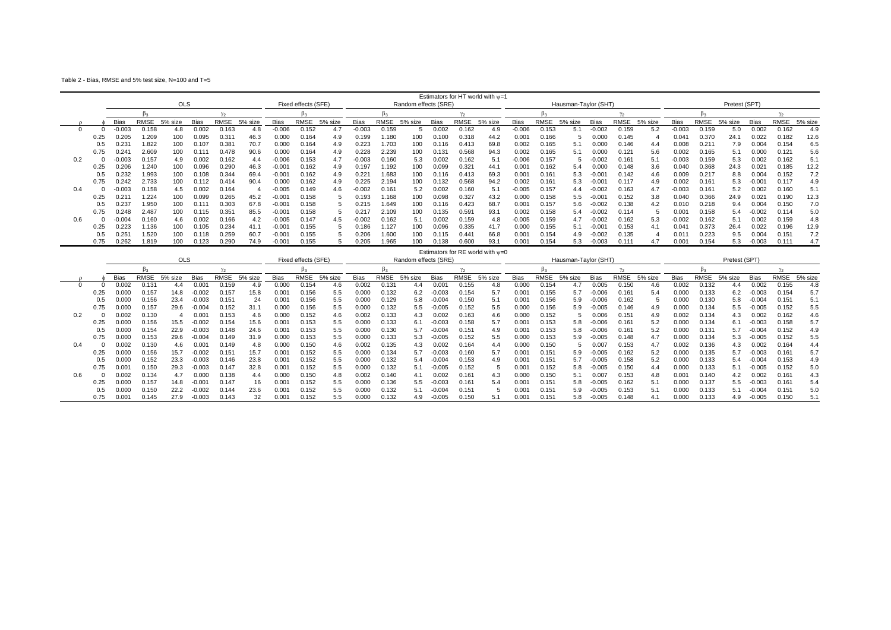Table 2 - Bias, RMSE and 5% test size, N=100 and T=5

|     |      |                |             |            |                |                   |         |                 |                     |         |          |             |                      |       |                   | Estimators for HT world with $v=1$ |                   |             |                      |                 |              |         |             |       |               |          |             |         |
|-----|------|----------------|-------------|------------|----------------|-------------------|---------|-----------------|---------------------|---------|----------|-------------|----------------------|-------|-------------------|------------------------------------|-------------------|-------------|----------------------|-----------------|--------------|---------|-------------|-------|---------------|----------|-------------|---------|
|     |      |                |             | <b>OLS</b> |                |                   |         |                 | Fixed effects (SFE) |         |          |             | Random effects (SRE) |       |                   |                                    |                   |             | Hausman-Taylor (SHT) |                 |              |         |             |       | Pretest (SPT) |          |             |         |
|     |      |                | h۵          |            |                | $v_{\alpha}$      |         |                 |                     |         |          | Þ3          |                      |       |                   |                                    |                   |             |                      |                 | $v_{\alpha}$ |         |             | D٠    |               |          |             |         |
|     |      | <b>Bias</b>    | <b>RMSE</b> | 5% size    | <b>Bias</b>    | RMSE              | 5% size | Bias            | RMSE                | 5% size | Bias     | <b>RMSE</b> | 5% size              | Bias  | RMSE              | 5% size                            | <b>Bias</b>       | <b>RMSE</b> | 5% size              | Bias            | RMSE         | 5% size | <b>Bias</b> | RMSE  | 5% size       | Bias     | <b>RMSE</b> | 5% size |
|     |      | 000.           | 0.158       | 4.8        | 0.002          | 0.163             | 4.8     | $-0.006$        | 0.152               | 4.7     | $-0.003$ | 0.159       |                      | 0.002 | 0.162             | 4.9                                | $-0.006$          | 0.153       |                      | $-0.002$        | 0.159        | 5.2     | $-0.003$    | 0.159 | 5.0           | 0.002    | 0.162       | 4.9     |
|     |      | 0.205          | 1.209       | 100        | 0.095          | 0.311             | 46.3    | 0.000           | 0.164               | 4.9     | 0.199    | .180        |                      | 0.100 | 0.318             | 44.2                               | 0.00 <sub>1</sub> | 0.166       |                      | 0.000           | 0.145        |         | 0.041       | 0.370 | 24.1          |          | 0.182       | 12.6    |
|     |      | $0.23^{\circ}$ | .822        | 100        |                | 0.38 <sup>2</sup> | 70.7    | 0.000           | 0.164               | 4.9     | 0.223    | 1.703       | 100                  | 0.116 | 0.413             | 69.8                               | 0.002             | 0.165       |                      | 0.000           | 0.146        | 4.4     | 0.008       | 0.21' | 7.9           | 0.004    | 0.154       | 6.5     |
|     |      | 0.24           | 2.609       | 100        | 0.111          | 0.478             | 90.6    | 0.000           | 0.164               | 4.9     | 0.228    | 2.239       | 100                  | 0.131 | 0.568             | 94.3                               | 0.002             | 0.165       |                      | 0.000           | 0.121        | 5.6     | 0.002       | 0.165 | 5.1           | 0.000    | 0.121       | 5.6     |
| 0.2 |      | 0.003          | 0.157       | 4.9        | 0.002          | 0.162             | 4.4     | $-0.006$        | 0.153               | 4.7     | $-0.003$ | 0.160       | 5.3                  | 0.002 | 0.162             |                                    | $-0.006$          | 0.157       |                      | $-0.002$        | 0.16'        | 5.1     | $-0.003$    | 0.159 | 5.3           | 0.002    | 0.162       | 5.1     |
|     |      | 0.206          | 1.240       | 100        | 0.096          | 0.290             | 46.3    | $-0.001$        | 0.162               | 4.9     | 0.197    | .192        |                      | 0.099 | 0.32 <sup>2</sup> | 44.1                               | 0.00 <sup>1</sup> | 0.162       | 5.4                  | 0.000           | 0.148        | 3.6     | 0.040       | 0.368 | 24.3          | 0.021    | 0.185       | 12.2    |
|     |      | 0.232          | 1.993       | 100        |                | 0.344             | 69.4    | $-0.001$        | 0.162               | 4.9     | 0.221    | 1.683       | 100                  | 0.116 | 0.413             | 69.3                               | 0.00 <sup>1</sup> | 0.16'       | 5.3                  | $-0.00^{\circ}$ | 0.142        | 4.6     | 0.009       | 0.217 | 8.8           | 0.004    | 0.152       | 7.2     |
|     |      | 0.242          | 2.733       | 100        | 0.112          | 0.414             | 90.4    | 0.000           | 0.162               | 4.9     | 0.225    | 2.194       | 100                  | 0.132 | 0.568             | 94.2                               | 0.002             | 0.16        | 5.3                  | $-0.00$         | 0.117        | 4.9     | 0.002       | 0.161 | 5.3           | $-0.001$ | 0.117       | 4.9     |
| 0.4 |      |                | 0.158       | 4.5        | 0.002          | 0.164             |         | 0.005           | 0.149               | 4.6     | $-0.002$ | 0.161       | 5.2                  | 0.002 | 0.160             |                                    | $-0.005$          | 0.157       | 4.4                  | $-0.002$        | 0.163        | 4.7     | -0.003      | 0.16' | 5.2           | 0.002    | 0.160       | 5.1     |
|     |      | 0.21           | 1.224       |            | 0.099          | 0.265             | 45.2    | $-0.00^{\circ}$ | 0.158               |         | 0.193    | .168        | 100                  | 0.098 | 0.327             | 43.2                               | 0.000             | 0.158       | 5.5                  | $-0.00^{\circ}$ | 0.152        | 3.8     | 0.040       | 0.366 | 24.9          | 0.021    | 0.190       | 12.3    |
|     |      | J.237          | 1.950       | 100        | $0.11^{\circ}$ | 0.303             | 67.8    | $-0.001$        | 0.158               |         | 0.215    | .649        | 100                  | 0.116 | 0.423             | 68.7                               | 0.00 <sub>1</sub> | 0.157       | 5.6                  | $-0.002$        | 0.138        | 4.2     | 0.010       | 0.218 | 9.4           | 0.004    | 0.150       | 7.0     |
|     |      | 0.24           | 2.487       | 100        | 0.115          | 0.35'             | 85.5    | $-0.001$        | 0.158               |         |          | 2.109       | 100                  | 0.135 | 0.59              | 93.7                               | 0.002             | 0.158       | 5.4                  | $-0.002$        | 0.114        |         | 0.001       | 0.158 | 5.4           | $-0.002$ | 0.114       | 5.0     |
| 0.6 |      | 0.004          | 0.160       | 4.6        | 0.002          | 0.166             | 4.2     | $-0.005$        | 0.147               | 4.5     | $-0.002$ | 0.162       | 5.1                  | 0.002 | 0.159             | 4.8                                | $-0.005$          | 0.159       |                      | $-0.002$        | 0.162        | 5.3     | -0.002      | 0.162 | 5.1           | 0.002    | 0.159       | 4.8     |
|     |      | 0.223          | l.136       |            |                | 0.234             | 41.1    | $-0.001$        | 0.155               |         | 0.186    | i.127       | 100                  | 0.096 | 0.335             | 41.7                               | 0.000             | 0.155       |                      | $-0.00$         | 0.153        | 4.1     | 0.041       | 0.373 | 26.4          | 0.022    | 0.196       | 12.9    |
|     | 0.5  | $0.25^{\circ}$ | 1.520       | 100        | 0.118          | 0.259             | 60.7    | $-0.001$        | 0.155               |         | 0.206    | 1.600       | 100                  | 0.115 | 0.44 <sup>2</sup> | 66.8                               | 0.00 <sub>1</sub> | 0.154       | 4.9                  | $-0.002$        | 0.135        |         | 0.011       | 0.223 | 9.5           | 0.004    | 0.151       | 7.2     |
|     | 0.75 | 0.262          | 1.819       | 100        | 0.123          | 0.290             | 74.9    | $-0.001$        | 0.155               |         | 0.205    | 1.965       | 100                  | 0.138 | 0.600             | 93.1                               | 0.001             | 0.154       | 5.3                  | $-0.003$        | 0.111        | 4.7     | 0.001       | 0.154 | 5.3           | $-0.003$ | 0.111       | 4.7     |
|     |      |                |             |            |                |                   |         |                 |                     |         |          |             |                      |       |                   | Estimators for RE world with $w=0$ |                   |             |                      |                 |              |         |             |       |               |          |             |         |

|     |      |       |       | <b>OLS</b> |                   |                |         |                | Fixed effects (SFE) |         |             |                | Random effects (SRE) |          |       | $L$ stillaturs für $L$ wurd with $\psi = 0$ |                |       | Hausman-Taylor (SHT) |          |       |         |             |       | Pretest (SPT) |          |             |         |
|-----|------|-------|-------|------------|-------------------|----------------|---------|----------------|---------------------|---------|-------------|----------------|----------------------|----------|-------|---------------------------------------------|----------------|-------|----------------------|----------|-------|---------|-------------|-------|---------------|----------|-------------|---------|
|     |      |       | B2    |            |                   |                |         |                |                     |         |             |                |                      |          |       |                                             |                |       |                      |          | ν.    |         |             |       |               |          |             |         |
|     |      | Bias  | RMSE  | 5% size    | Bias              | <b>RMSE</b>    | 5% size | Bias           | RMSE                | 5% size | <b>Bias</b> | RMSE           | 5% size              | Bias     | RMSE  | 5% size                                     | Bias           | RMSE  | 5% size              | Bias     | RMSE  | 5% size | <b>Bias</b> | RMSE  | 5% size       | Bias     | <b>RMSE</b> | 5% size |
|     |      | 0.002 | 0.131 |            | 0.00              | 0.159          | 4.9     | 0.000          | 0.154               | 4.6     | 0.002       | $0.13^{\circ}$ |                      | 0.001    | 0.155 | 4.8                                         | 0.00(          | 0.154 |                      | 0.005    | 0.150 | 4.6     | 0.002       | 0.132 | 4.4           | 0.002    | 0.155       | 4.8     |
|     | 0.25 | 0.000 | 0.157 | 14.8       | $-0.002$          | 0.157          | 15.8    | $0.00^{\circ}$ | 0.156               | 5.5     | 0.000       | 0.132          | 6.2                  | $-0.003$ | 0.154 |                                             | 0.001          | 0.155 | 5.7                  | $-0.006$ | 0.16' | 5.4     | 0.000       | 0.133 | 6.2           | $-0.003$ | 0.154       | 5.7     |
|     |      | 0.000 | 0.156 | 23.4       | $-0.003$          | $0.15^{\circ}$ | 24      | $0.00^{\circ}$ | 0.156               | 5.5     | 0.000       | 0.129          | 5.8                  | $-0.004$ | 0.15C |                                             | 0.001          | 0.156 | 5.9                  | $-0.006$ | 0.162 |         | 0.000       | 0.130 | 5.8           | $-0.004$ | 0.151       | 5.1     |
|     | 0.75 | 0.000 | 0.157 | 29.6       | $-0.004$          | 0.152          | 31.1    | 0.000          | 0.156               | 5.5     | 0.000       | 0.132          | 5.5                  |          | 0.152 | 5.5                                         | 0.00           | 0.156 | 5.9                  | $-0.005$ | 0.146 | 4.9     | 0.000       | 0.134 | 5.5           | $-0.005$ | 0.152       | 5.5     |
| 0.2 |      | 0.002 | 0.130 |            |                   | 0.153          | 4.6     | 0.000          | 0.152               | 4.6     | 0.002       | 0.133          | 4.3                  | 0.002    | 0.163 |                                             | 0.00(          | 0.152 |                      | 0.006    | 0.15' | 4.9     | 0.002       | 0.134 | 4.3           | 0.002    | 0.162       | 4.6     |
|     | 0.25 | 0.000 | 0.156 | 15.5       | $-0.002$          | 0.154          | 15.6    | $0.00^{\circ}$ | 0.153               | 5.5     | 0.000       | 0.133          | 6.1                  | $-0.003$ | 0.158 |                                             | 0.001          | 0.153 | 5.8                  | $-0.006$ | 0.16' | 5.2     | 0.000       | 0.134 | 6.1           | $-0.003$ | 0.158       | 5.7     |
|     |      | 0.000 | 0.154 | 22.9       | $-0.003$          | 0.148          | 24.6    | 0.001          | 0.153               | 5.5     | 0.000       | 0.130          | 5.7                  | 0.004    | 0.151 |                                             | 0.001          | 0.153 | 5.8                  | $-0.006$ | 0.16' | 5.2     | 0.000       | 0.131 |               | $-0.004$ | 0.152       | 4.9     |
|     | 0.75 | 0.000 | 0.153 | 29.6       | $-0.004$          | 0.149          | 31.9    | 0.000          | 0.153               | 5.5     | 0.000       | 0.133          | 5.3                  | $-0.005$ | 0.152 | 5.5                                         | 0.00           | 0.153 | 5.9                  | $-0.005$ | 0.148 | 4.7     | 0.000       | 0.134 | 5.3           | $-0.005$ | 0.152       | 5.5     |
| 0.4 |      | 0.002 | 0.130 | 4.6        | 0.00 <sup>1</sup> | 0.149          | 4.8     | 0.000          | 0.150               | 4.6     | 0.002       | 0.135          | 4.3                  | 0.002    | 0.164 | 4.4                                         | 0.000          | 0.150 |                      | 0.007    | 0.153 | 4.7     | 0.002       | 0.136 | 4.3           | 0.002    | 0.164       | 4.4     |
|     | 0.25 | 0.000 | 0.156 | 15.7       | $-0.002$          | 0.15'          | 15.7    | 0.001          | 0.152               | 5.5     | 0.000       | 0.134          | 5.7                  | $-0.003$ | 0.160 |                                             | 0.001          | 0.151 | 5.9                  | $-0.005$ | 0.162 | 5.2     | 0.000       | 0.135 | 5.7           | $-0.003$ | 0.161       | 5.7     |
|     |      | 0.000 | 0.152 | 23.3       | $-0.003$          | 0.146          | 23.8    | 0.001          | 0.152               | 5.5     | 0.000       | 0.132          | 5.4                  | $-0.004$ | 0.153 |                                             | 0.001          | 0.151 |                      | $-0.005$ | 0.158 | 5.2     | 0.000       | 0.133 | 5.4           | $-0.004$ | 0.153       | 4.9     |
|     | 0.75 | 0.001 | 0.150 | 29.3       | $-0.003$          | 0.147          | 32.8    | 0.001          | 0.152               | 5.5     | 0.000       | 0.132          | 5.1                  |          | 0.152 |                                             | 0.001          | 0.152 | 5.8                  | $-0.005$ | 0.150 | 4.4     | 0.000       | 0.133 | 5.1           | -0.005   | 0.152       | 5.0     |
| 0.6 |      | 0.002 | 0.134 | 4.1        | 0.000             | 0.138          | 4.4     | 0.000          | 0.150               | 4.8     | 0.002       | 0.140          |                      | 0.002    | 0.161 |                                             | 0.00(          | 0.150 |                      | 0.007    | 0.153 | 4.8     | 0.001       | 0.140 | 4.2           | 0.002    | 0.161       | 4.3     |
|     |      | 0.000 | 0.157 | 14.8       | $-0.00$           | 0.147          |         | $0.00^{\circ}$ | 0.152               | 5.5     | 0.000       | 0.136          | $5.5\,$              |          | 0.161 |                                             | 0.001          | 0.151 | 5.8                  | $-0.005$ | 0.162 |         | 0.000       | 0.137 |               | $-0.003$ | 0.161       | 5.4     |
|     |      | 0.000 | 0.150 | 22.2       | $-0.002$          | 0.144          | 23.6    | $0.00^{\circ}$ | 0.152               | 5.5     | 0.000       | 0.132          | 5.1                  | $-0.004$ | 0.151 |                                             | $0.00^{\circ}$ | 0.151 | 5.9                  | $-0.005$ | 0.153 |         | 0.000       | 0.133 |               | $-0.004$ | 0.151       | 5.0     |
|     |      | 0.001 | 0.145 | 27.9       | 0.003             | 0.143          | 32      | $0.00^{\circ}$ | 0.152               | 5.5     | 0.00        | 0.132          |                      |          | 0.150 |                                             | $0.00^{\circ}$ | 0.15' | 5.8                  | $-0.005$ | 0.148 | 4.      | 0.000       | 0.133 |               | $-0.005$ | 0.150       | 5.1     |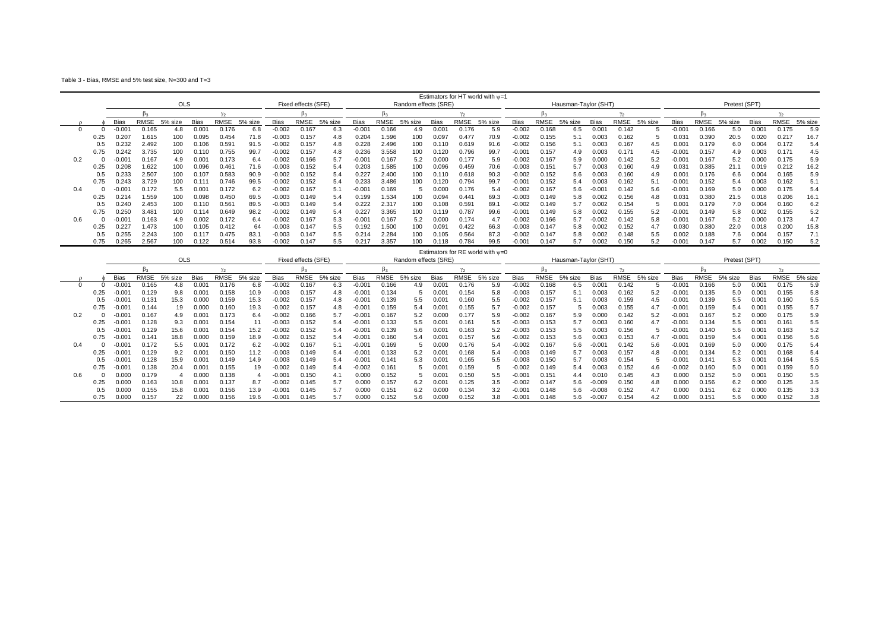Table 3 - Bias, RMSE and 5% test size, N=300 and T=3

|     |      |          |             |            |                |       |         |             |                     |         |                 |             |                      |                   |                   | Estimators for HT world with $w=1$ |             |             |                      |                   |              |         |                   |       |               |       |             |         |
|-----|------|----------|-------------|------------|----------------|-------|---------|-------------|---------------------|---------|-----------------|-------------|----------------------|-------------------|-------------------|------------------------------------|-------------|-------------|----------------------|-------------------|--------------|---------|-------------------|-------|---------------|-------|-------------|---------|
|     |      |          |             | <b>OLS</b> |                |       |         |             | Fixed effects (SFE) |         |                 |             | Random effects (SRE) |                   |                   |                                    |             |             | Hausman-Taylor (SHT) |                   |              |         |                   |       | Pretest (SPT) |       |             |         |
|     |      |          |             |            |                |       |         |             |                     |         |                 |             |                      |                   |                   |                                    |             |             |                      |                   | $v_{\alpha}$ |         |                   | D٠    |               |       |             |         |
|     |      | Bias     | <b>RMSE</b> | 5% size    | <b>Bias</b>    | RMSE  | 5% size | <b>Bias</b> | RMSE                | 5% size | Bias            | <b>RMSE</b> | 5% size              | Bias              | <b>RMSE</b>       | 5% size                            | <b>Bias</b> | <b>RMSE</b> | 5% size              | <b>Bias</b>       | RMSE         | 5% size | <b>Bias</b>       | RMSE  | 5% size       | Bias  | <b>RMSE</b> | 5% size |
|     |      | $-0.001$ | 0.165       | 4.8        | $0.00^{\circ}$ | 0.176 | 6.8     | $-0.002$    | 0.167               | 6.3     | $-0.004$        | 0.166       | 4.9                  | 0.00 <sup>1</sup> | 0.176             | 5.9                                | $-0.002$    | 0.168       | 6.5                  | 0.00 <sup>4</sup> | 0.142        |         | $-0.001$          | 0.166 | 5.0           | 0.001 | 0.175       | 5.9     |
|     |      | 0.207    | 1.615       | 100        | 0.095          | 0.454 | 71.8    | -0.003      | 0.157               | 4.8     | 0.204           | .596        |                      | 0.097             | 0.477             | 70.9                               | $-0.002$    | 0.155       |                      | 0.003             | 0.162        |         | $0.03^{\circ}$    | 0.39C | 20.5          | 0.020 | 0.217       | 16.7    |
|     |      | .232     | 2.492       | 100        |                | 0.591 | 91.5    | $-0.002$    | 0.157               | 4.8     | 0.228           | 2.496       | 100                  | 0.110             | 0.619             | 91.6                               | $-0.002$    | 0.156       |                      | 0.003             | 0.167        | 4.5     | 0.00 <sup>1</sup> | 0.179 | 6.0           | 0.004 | 0.172       | 5.4     |
|     | 0.75 | 0.242    | 3.735       | 100        | ነ 11በ          | 0.755 | 99.7    | $-0.002$    | 0.157               | 4.8     | 0.236           | 3.558       | 100                  | 0.120             | 0.796             | 99.7                               | $-0.00$     | 0.157       | 4.9                  | 0.003             | 0.171        | 4.5     | $-0.00$           | 0.157 | 4.9           | 0.003 | 0.171       | 4.5     |
| 0.2 |      | .00      | 0.167       | 4.9        | $0.00^{\circ}$ | 0.173 | 6.4     | $-0.002$    | 0.166               | 5.7     | $-0.001$        | 0.167       | 5.2                  | 0.00C             | 0.177             | 5.9                                | $-0.002$    | 0.167       | 5.9                  | 0.000             | 0.142        | 5.2     | $-0.00^{\circ}$   | 0.167 | 5.2           | 0.00  | 0.175       | 5.9     |
|     |      | 0.208    | .622        | 100        | 0.096          | 0.461 | 71.6    | $-0.003$    | 0.152               | 5.4     | 0.203           | .585        | 100                  | 0.096             | 0.459             | 70.6                               | $-0.003$    | 0.15'       |                      | 0.003             | 0.160        | 4.9     | 0.031             | 0.385 | 21.1          | 0.019 | 0.212       | 16.2    |
|     | 0.5  | 0.233    | 2.507       | 100        |                | 0.583 | 90.9    | -0.002      | 0.152               | 5.4     | 0.227           | 2.400       | 100                  | 0.110             | 0.618             | 90.3                               | $-0.002$    | 0.152       | 5.6                  | 0.003             | 0.160        | 4.9     | 0.001             | 0.176 | 6.6           | 0.004 | 0.165       | 5.9     |
|     |      | 0.243    | 3.729       | 100        |                | 0.746 | 99.5    | $-0.002$    | 0.152               | 5.4     | 0.233           | 3.486       | 100                  | 0.120             | 0.794             | 99.7                               | $-0.001$    | 0.152       | 5.4                  | 0.003             | 0.162        | 5.1     | $-0.001$          | 0.152 | 5.4           | 0.003 | 0.162       | 5.1     |
| 0.4 |      | $-0.001$ |             | 5.5        | $0.00^{\circ}$ | 0.172 | 6.2     | $-0.002$    | 0.167               | 5.1     | $-0.001$        | 0.169       |                      | 0.000             | 0.176             |                                    | $-0.002$    | 0.167       | 5.6                  | $-0.00^{\circ}$   | 0.142        | 5.6     | $-0.001$          | 0.169 | 5.0           | 0.00C | 0.175       | 5.4     |
|     |      | 0.214    | 1.559       | 100        | 0.098          | 0.450 | 69.5    | $-0.003$    | 0.149               | 5.4     | 0.199           | .534        |                      | 0.094             | 0.44 <sup>2</sup> | 69.3                               | $-0.003$    | 0.149       | 5.8                  | 0.002             | 0.156        | 4.8     | 0.03 <sup>2</sup> | 0.380 | 21.5          |       | 0.206       | 16.1    |
|     |      | 0.240    | 2.453       | 100        | 0.110          | 0.56' | 89.5    | $-0.003$    | 0.149               | 5.4     | 0.222           | 2.317       | 100                  | 0.108             | 0.59              | 89.1                               | $-0.002$    | 0.149       |                      | 0.002             | 0.154        |         | $0.00^{\circ}$    | 0.179 | 7.0           | 0.004 | 0.160       | 6.2     |
|     | 0.75 | 0.250    | 3.481       | 100        |                | 0.649 | 98.2    | $-0.002$    | 0.149               | 5.4     | 0.22            | 3.365       | 100                  | 0.119             | 0.787             | 99.6                               | $-0.00$     | 0.149       | 5.8                  | 0.002             | 0.155        | 5.2     | $-0.00^{\circ}$   | 0.149 | 5.8           | 0.002 | 0.155       | 5.2     |
| 0.6 |      | ,00      | 0.163       | 4.9        | 0.002          | 0.172 | 6.4     | $-0.002$    | 0.167               | 5.3     | $-0.00^{\circ}$ | 0.167       | 5.2                  | 0.000             | 0.174             |                                    | $-0.002$    | 0.166       |                      | $-0.002$          | 0.142        | 5.8     | $-0.00^{\circ}$   | 0.167 | 5.2           | 0.000 | 0.173       | 4.7     |
|     |      | 0.227    | 1.473       |            |                | 0.412 | 64      | $-0.003$    | 0.147               | 5.5     | 0.192           | 1.500       | 100                  | 0.09 <sup>4</sup> | 0.422             | 66.3                               | $-0.003$    | 0.147       |                      | 0.002             | 0.152        | 4.7     | 0.030             | 0.380 | 22.0          | 0.018 | 0.200       | 15.8    |
|     |      | 0.255    | 2.243       | 100        |                | 0.475 | 83.1    | $-0.003$    | 0.147               | 5.5     | 0.214           | 2.284       | 100                  | 0.105             | 0.564             | 87.3                               | $-0.002$    | 0.147       | 5.8                  | 0.002             | 0.148        | 5.5     | 0.002             | 0.188 | 7.6           | 0.004 | 0.157       | 7.1     |
|     | 0.75 | 0.265    | 2.567       | 100        | 0.122          | 0.514 | 93.8    | $-0.002$    | 0.147               | 5.5     | 0.217           | 3.357       | 100                  | 0.118             | 0.784             | 99.5                               | $-0.001$    | 0.147       |                      | 0.002             | 0.150        | 5.2     | $-0.001$          | 0.147 | 5.7           | 0.002 | 0.150       | 5.2     |
|     |      |          |             |            |                |       |         |             |                     |         |                 |             |                      |                   |                   | Estimators for RE world with $w=0$ |             |             |                      |                   |              |         |                   |       |               |       |             |         |

|     |      |          |       | <b>OLS</b> |                   |                   |         |                 | Fixed effects (SFE) |         |                 |             | Random effects (SRE) |             | $L$ stiliaturs für KL Wulld With $\psi = 0$ |         |             |       | Hausman-Taylor (SHT) |                      |              |         |                 |                 | Pretest (SPT) |                   |       |         |
|-----|------|----------|-------|------------|-------------------|-------------------|---------|-----------------|---------------------|---------|-----------------|-------------|----------------------|-------------|---------------------------------------------|---------|-------------|-------|----------------------|----------------------|--------------|---------|-----------------|-----------------|---------------|-------------------|-------|---------|
|     |      |          |       |            |                   | ν.                |         |                 |                     |         |                 |             |                      |             |                                             |         |             |       |                      |                      | $\gamma_{2}$ |         |                 |                 |               |                   |       |         |
|     |      | Bias     | RMSE  | 5% size    | <b>Bias</b>       | <b>RMSE</b>       | 5% size | <b>Bias</b>     | RMSE                | 5% size | <b>Bias</b>     | <b>RMSE</b> | 5% size              | <b>Bias</b> | RMSE                                        | 5% size | <b>Bias</b> | RMSE  | 5% size              | <b>Bias</b>          | RMSE         | 5% size | <b>Bias</b>     | RMSE            | 5% size       | <b>Bias</b>       | RMSE  | 5% size |
|     |      | $-0.001$ | 0.165 |            | 0.00              | 0.176             | 6.8     | $-0.002$        | 0.167               | 6.3     | $-0.00$         | 0.166       |                      | 0.00        | 0.176                                       | 5.9     | $-0.002$    | 168   | 6.5                  | 0.00                 | 0.142        |         | $-0.00$         | 0.166           | 5.0           | $0.00^{\circ}$    | 0.175 | 5.9     |
|     | 0.25 | $-0.001$ | 0.129 | 9.8        | 0.00 <sup>1</sup> | 0.158             | 10.9    | $-0.003$        | 0.15                | 4.8     | $-0.00o$        | 0.134       |                      | 0.00        | 0.154                                       | 5.8     | $-0.003$    | 0.157 | 5.1                  | 0.003                | 0.162        | 5.2     | $-0.00$         | 0.135           | 5.0           | 0.00 <sub>1</sub> | 0.155 | 5.8     |
|     |      | 0.001    | 0.131 | 15.3       | 0.000             | 0.159             | 15.3    | $-0.002$        | 0.15                | 4.8     | $-0.00$         | 0.139       | 5.5                  | 0.00        | 0.160                                       |         | $-0.002$    | 0.157 |                      | 0.003                | 0.159        | 4.5     | $-0.00$         | 0.139           | 5.5           | 0.00              | 0.160 | 5.5     |
|     | 0.75 | 0.001    | 0.144 |            | 0.000             | 0.160             | 19.3    | $-0.002$        | 0.157               | 4.8     | $-0.001$        | 0.159       | 5.4                  | 0.00        | 0.155                                       |         | $-0.002$    | 0.157 |                      | 0.003                | 0.155        | 4.7     | $-0.00$         | 0.159           | 5.4           | 0.00 <sub>1</sub> | 0.155 | 5.7     |
| 0.2 |      | 0.001    | 0.167 | 4.9        | 0.00              | 0.173             | 6.4     | $-0.002$        | 0.166               | 5.7     | $-0.00^{\circ}$ | 0.167       | 5.2                  | 0.000       | 0.177                                       | 5.9     | $-0.002$    | .167  | 5.9                  | 0.00C                | 0.142        | 5.2     | $-0.001$        | 0.167           | 5.2           |                   | 0.175 | 5.9     |
|     |      | 0.001    | 0.128 | 9.3        | $0.00^{\circ}$    | 0.154             |         | -0.003          | 0.152               | 5.4     | $-0.001$        | 0.133       | 5.5                  | 0.00        | 0.16'                                       | 5.5     | $-0.003$    | 0.153 |                      | 0.003                | 0.160        | 4.7     | $-0.001$        | 0.134           | 5.5           | 0.00 <sub>1</sub> | 0.161 | 5.5     |
|     |      | 0.001    | 0.129 | 15.6       | 0.00              | 0.154             | 15.2    | $-0.002$        | 0.152               | 5.4     | $-0.00*$        | 0.139       | 5.6                  | 0.00        | 0.163                                       |         | $-0.003$    | 0.153 | 5.5                  | 0.003                | 0.156        |         | $-0.00^{\circ}$ | 0.140           | 5.6           | 0.00 <sub>1</sub> | 0.163 | 5.2     |
|     | 0.75 | $-0.001$ | 0.141 | 18.8       | 0.000             | 0.159             | 18.9    | $-0.002$        | 0.152               | 5.4     | $-0.004$        | 0.160       | 5.4                  | 0.00        | 0.157                                       | 5.6     | $-0.002$    | 0.153 | 5.6                  | 0.003                | 0.153        | 4.7     | $-0.001$        | 0.159           | 5.4           | 0.00 <sup>1</sup> | 0.156 | 5.6     |
| 0.4 |      | 0.001    | 0.172 | 5.5        | $0.00^{\circ}$    | 0.172             | 6.2     | $-0.002$        | 0.167               | 5.1     | $-0.00^{\circ}$ | 0.169       |                      | 0.000       | 0.176                                       | 5.4     | $-0.002$    | 0.167 | 5.6                  | $-0.001$             | 0.142        | 5.6     | $-0.001$        | 0.169           | 5.0           | 0.000             | 0.175 |         |
|     |      | $-0.001$ | 0.129 | 9.2        | 0.00 <sub>1</sub> | 0.150             | 11.2    | -0.003          | 0.149               | 5.4     | $-0.00o$        | 0.133       | 5.2                  | 0.00        | 0.168                                       | 5.4     | $-0.003$    | 0.149 |                      | 0.003                | 0.157        | 4.8     | $-0.001$        | 0.134           |               | 0.00 <sup>1</sup> | 0.168 |         |
|     |      | 0.001    | 0.128 | 15.9       | 0.00 <sub>1</sub> | 0.149             | 14.9    | -0.003          | 0.149               | 5.4     | $-0.00$         | 0.141       | 5.3                  | 0.00        | 0.165                                       | 5.5     | $-0.003$    | 0.150 |                      | 0.003                | 0.154        |         | $-0.001$        | 0.141           | 5.3           | $0.00^{\circ}$    | 0.164 | 5.5     |
|     | 0.75 | 0.001    | 0.138 | 20.4       | 0.00              | 0.155             |         | -0.002          | 0.149               | 5.4     | $-0.002$        | 0.161       |                      | 0.00        | 0.159                                       |         | 0.002       | 0.149 | 5.4                  | 0.003                | 0.152        | 4.6     | $-0.002$        | 0.160           | 5.0           | $0.00^{\circ}$    | 0.159 | 5.0     |
| 0.6 |      | 000.     | 0.179 |            | 0.000             | 0.138             |         | $-0.00^{\circ}$ | 0.150               | 4.1     | 0.00(           | 0.152       |                      | 0.00        | 0.150                                       | 5.5     | $-0.00$     | 0.15  | 4.4                  | 0.01C                | 0.145        | 4.3     | 0.000           | 0.152           | 5.0           | $0.00^{\circ}$    | 0.150 | 5.5     |
|     | 0.25 | 0.00C    | 0.163 | 10.8       | 0.00 <sub>1</sub> | 0.137             | 8.7     | $-0.002$        | 0.145               | 5.7     | 0.00(           | 0.157       | 6.2                  | 0.00        | 0.125                                       | 3.5     | $-0.002$    | 0.147 | 5.6                  | $-0.009$             | 0.150        | 4.8     | 0.000           | 0.156           |               |                   | 0.125 | 3.5     |
|     |      | 0.000    | 0.155 | 15.8       | 0.00 <sub>1</sub> | 0.156             | 13.9    | $-0.001$        | 0.145               | 5.7     | 0.00(           | 0.151       | 6.2                  | 0.000       | 0.134                                       |         | $-0.00$     | 0.148 | 5.6                  | $-0.008$             | 0.152        | 4.7     | 0.000           | 0.151           |               |                   | 0.135 | 3.3     |
|     | 0.75 | 0.000    | 0.157 |            | 0.000             | J.15 <sup>F</sup> | 19.6    | $-0.00^{\circ}$ | 0.145               |         | 0.00            | 0.152       | 5.6                  | 0.000       | 0.152                                       |         | $-0.00$     | 0.14P | 5.6                  | $-0.00$ <sup>-</sup> | 0.154        |         | 0.000           | $0.15^{\prime}$ | 5.6           |                   | 0.152 | 3.8     |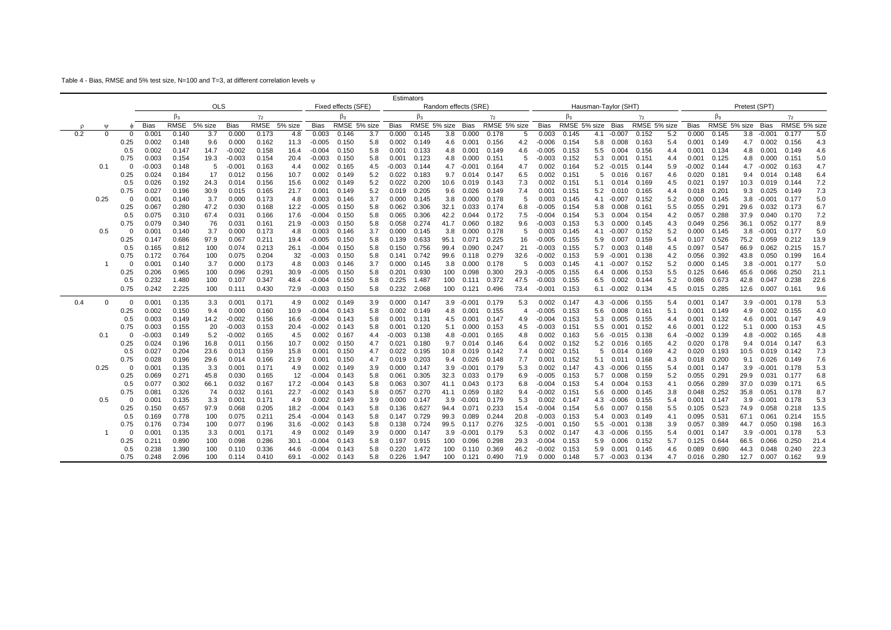Table 4 - Bias, RMSE and 5% test size, N=100 and T=3, at different correlation levels w

|          |              |             |                   |                |              |                    |                |              |                    |                     |            | Estimators     |                |                      |                |                |              |                    |                |                      |                 |                |            |                |                |              |                |                |              |
|----------|--------------|-------------|-------------------|----------------|--------------|--------------------|----------------|--------------|--------------------|---------------------|------------|----------------|----------------|----------------------|----------------|----------------|--------------|--------------------|----------------|----------------------|-----------------|----------------|------------|----------------|----------------|--------------|----------------|----------------|--------------|
|          |              |             |                   |                | <b>OLS</b>   |                    |                |              |                    | Fixed effects (SFE) |            |                |                | Random effects (SRE) |                |                |              |                    |                | Hausman-Taylor (SHT) |                 |                |            |                |                | Pretest (SPT |                |                |              |
|          |              |             |                   | $\beta_3$      |              |                    | $\gamma_2$     |              |                    | $\beta_3$           |            |                | $\beta_3$      |                      |                | $\gamma_2$     |              |                    | $\beta_3$      |                      |                 | $\gamma_2$     |            |                | $\beta_3$      |              |                | $\gamma_2$     |              |
| $\Omega$ | W            |             | <b>Bias</b>       | RMSE           | 5% size      | <b>Bias</b>        | RMSE           | 5% size      | <b>Bias</b>        | RMSE 5% size        |            | <b>Bias</b>    | RMSE 5% size   |                      | Bias           | RMSE 5% size   |              | <b>Bias</b>        | RMSE 5% size   |                      | Bias            | RMSE 5% size   |            | <b>Bias</b>    | RMSE 5% size   |              | Bias           | RMSE 5% size   |              |
| 0.2      | $\Omega$     | $\Omega$    | 0.00 <sub>1</sub> | 0.140          | 3.7          | 0.00C              | 0.173          | 4.8          | 0.003              | 0.146               | 3.7        | 0.000          | 0.145          | 3.8                  | 0.000          | 0.178          | 5            | 0.003              | 0.145          | 4.1                  | $-0.007$        | 0.152          | 5.2        | 0.000          | 0.145          | 3.8          | $-0.001$       | 0.177          | 5.0          |
|          |              | 0.25        | 0.002             | 0.148          | 9.6          | 0.000              | 0.162          | 11.3         | $-0.005$           | 0.150               | 5.8        | 0.002          | 0.149          | 4.6                  | 0.001          | 0.156          | 4.2          | $-0.006$           | 0.154          | 5.8                  | 0.008           | 0.163          | 5.4        | 0.001          | 0.149          | 4.7          | 0.002          | 0.156          | 4.3          |
|          |              | 0.5<br>0.75 | 0.002<br>0.003    | 0.147<br>0.154 | 14.7<br>19.3 | $-0.002$<br>-0.003 | 0.158<br>0.154 | 16.4<br>20.4 | $-0.004$<br>-0.003 | 0.150<br>0.150      | 5.8<br>5.8 | 0.001<br>0.001 | 0.133<br>0.123 | 4.8<br>4.8           | 0.001<br>0.000 | 0.149<br>0.151 | 4.6<br>5     | $-0.005$<br>-0.003 | 0.153<br>0.152 | 5.5<br>5.3           | 0.004<br>0.001  | 0.156<br>0.151 | 4.4<br>4.4 | 0.001<br>0.001 | 0.134<br>0.125 | 4.8<br>4.8   | 0.001<br>0.000 | 0.149<br>0.151 | 4.6<br>5.0   |
|          | 0.1          | $\Omega$    | $-0.003$          | 0.148          | 5            | $-0.001$           | 0.163          | 4.4          | 0.002              | 0.165               | 4.5        | $-0.003$       | 0.144          | 4.7                  | -0.001         | 0.164          | 4.7          | 0.002              | 0.164          | 5.2                  | -0.015          |                | 5.9        | $-0.002$       | 0.144          | 4.7          | $-0.002$       | 0.163          | 4.7          |
|          |              | 0.25        | 0.024             | 0.184          | 17           | 0.012              | 0.156          | 10.7         | 0.002              | 0.149               | 5.2        | 0.022          | 0.183          | 9.7                  | 0.014          | 0.147          | 6.5          | 0.002              | 0.151          | 5                    | 0.016           | 0.144<br>0.167 | 4.6        | 0.020          | 0.181          | 9.4          | 0.014          | 0.148          | 6.4          |
|          |              | 0.5         | 0.026             | 0.192          | 24.3         | 0.014              | 0.156          | 15.6         | 0.002              | 0.149               | 5.2        | 0.022          | 0.200          | 10.6                 | 0.019          | 0.143          | 7.3          | 0.002              | 0.151          | 5.1                  | 0.014           | 0.169          | 4.5        | 0.021          | 0.197          | 10.3         | 0.019          | 0.144          | 7.2          |
|          |              | 0.75        | 0.027             | 0.196          | 30.9         | 0.015              | 0.165          | 21.7         | 0.001              | 0.149               | 5.2        | 0.019          | 0.205          | 9.6                  | 0.026          | 0.149          | 7.4          | 0.001              | 0.151          | 5.2                  | 0.010           | 0.165          | 4.4        | 0.018          | 0.201          | 9.3          | 0.025          | 0.149          | 7.3          |
|          | 0.25         | $\Omega$    | 0.001             | 0.140          | 3.7          | 0.000              | 0.173          | 4.8          | 0.003              | 0.146               | 3.7        | 0.000          | 0.145          | 3.8                  | 0.000          | 0.178          | 5            | 0.003              | 0.145          |                      | $4.1 - 0.007$   | 0.152          | 5.2        | 0.000          | 0.145          | 3.8          | $-0.001$       | 0.177          | 5.0          |
|          |              | 0.25        | 0.067             | 0.280          | 47.2         | 0.030              | 0.168          | 12.2         | $-0.005$           | 0.150               | 5.8        | 0.062          | 0.306          | 32.1                 | 0.033          | 0.174          | 6.8          | $-0.005$           | 0.154          | 5.8                  | 0.008           | 0.161          | 5.5        | 0.055          | 0.291          | 29.6         | 0.032          | 0.173          | 6.7          |
|          |              | 0.5         | 0.075             | 0.310          | 67.4         | 0.031              | 0.166          | 17.6         | $-0.004$           | 0.150               | 5.8        | 0.065          | 0.306          | 42.2                 | 0.044          | 0.172          | 7.5          | $-0.004$           | 0.154          | 5.3                  | 0.004           | 0.154          | 4.2        | 0.057          | 0.288          | 37.9         | 0.040          | 0.170          | 7.2          |
|          |              | 0.75        | 0.079             | 0.340          | 76           | 0.03 <sup>′</sup>  | 0.161          | 21.9         | -0.003             | 0.150               | 5.8        | 0.058          | 0.274          | 41.7                 | 0.060          | 0.182          | 9.6          | -0.003             | 0.153          | 5.3                  | 0.000           | 0.145          | 4.3        | 0.049          | 0.256          | 36.1         | 0.052          | 0.177          | 8.9          |
|          | 0.5          | $\Omega$    | 0.001             | 0.140          | 3.7          | 0.000              | 0.173          | 4.8          | 0.003              | 0.146               | 3.7        | 0.000          | 0.145          | 3.8                  | 0.000          | 0.178          | 5            | 0.003              | 0.145          | 4.1                  | $-0.007$        | 0.152          | 5.2        | 0.000          | 0.145          | 3.8          | $-0.001$       | 0.177          | 5.0          |
|          |              | 0.25        | 0.147             | 0.686          | 97.9         | 0.067              | 0.211          | 19.4         | $-0.005$           | 0.150               | 5.8        | 0.139          | 0.633          | 95.1                 | 0.071          | 0.225          | 16           | -0.005             | 0.155          | 5.9                  | 0.007           | 0.159          | 5.4        | 0.107          | 0.526          |              | 75.2 0.059     | 0.212          | 13.9         |
|          |              | 0.5         | 0.165             | 0.812          | 100          | 0.074              | 0.213          | 26.1         | $-0.004$           | 0.150               | 5.8        | 0.150          | 0.756          | 99.4                 | 0.090          | 0.247          | 21           | $-0.003$           | 0.155          | 5.7                  | 0.003           | 0.148          | 4.5        | 0.097          | 0.547          | 66.9         | 0.062          | 0.215          | 15.7         |
|          |              | 0.75        | 0.172             | 0.764          | 100          | 0.075              | 0.204          | 32           | $-0.003$           | 0.150               | 5.8        | 0.141          | 0.742          | 99.6                 | 0.118          | 0.279          | 32.6         | $-0.002$           | 0.153          | 5.9                  | $-0.001$        | 0.138          | 4.2        | 0.056          | 0.392          | 43.8         | 0.050          | 0.199          | 16.4         |
|          |              | $\Omega$    | 0.001             | 0.140          | 3.7          | 0.000              | 0.173          | 4.8          | 0.003              | 0.146               | 3.7        | 0.000          | 0.145          | 3.8                  | 0.000          | 0.178          | 5            | 0.003              | 0.145          | 4.1                  | -0.007          | 0.152          | 5.2        | 0.000          | 0.145          | 3.8          | $-0.001$       | 0.177          | 5.0          |
|          |              | 0.25        | 0.206             | 0.965          | 100          | 0.096              | 0.291          | 30.9         | $-0.005$           | 0.150               | 5.8        | 0.201          | 0.930          | 100                  | 0.098          | 0.300          | 29.3         | -0.005             | 0.155          | 6.4                  | 0.006           | 0.153          | 5.5        | 0.125          | 0.646          | 65.6         | 0.066          | 0.250          | 21.1         |
|          |              | 0.5         | 0.232             | 1.480          | 100          | 0.107              | 0.347          | 48.4         | $-0.004$           | 0.150               | 5.8        | 0.225          | 1.487          | 100                  | 0.111          | 0.372          | 47.5         | $-0.003$           | 0.155          | 6.5                  | 0.002           | 0.144          | 5.2        | 0.086          | 0.673          | 42.8         | 0.047          | 0.238          | 22.6         |
|          |              | 0.75        | 0.242             | 2.225          | 100          | 0.111              | 0.430          | 72.9         | -0.003             | 0.150               | 5.8        | 0.232          | 2.068          | 100                  | 0.121          | 0.496          | 73.4         | -0.001             | 0.153          |                      | $6.1 - 0.002$   | 0.134          | 4.5        | 0.015          | 0.285          | 12.6         | 0.007          | 0.161          | 9.6          |
| 0.4      | <sup>0</sup> | $\mathbf 0$ | 0.001             | 0.135          | 3.3          | 0.00 <sup>4</sup>  | 0.171          | 4.9          | 0.002              | 0.149               | 3.9        | 0.000          | 0.147          |                      | $3.9 - 0.001$  | 0.179          | 5.3          | 0.002              | 0.147          | 4.3                  | -0.006          | 0.155          | 5.4        | 0.001          | 0.147          |              | $3.9 - 0.001$  | 0.178          | 5.3          |
|          |              | 0.25        | 0.002             | 0.150          | 9.4          | 0.000              | 0.160          | 10.9         | $-0.004$           | 0.143               | 5.8        | 0.002          | 0.149          | 4.8                  | 0.001          | 0.155          | 4            | -0.005             | 0.153          | 5.6                  | 0.008           | 0.161          | 5.1        | 0.001          | 0.149          | 4.9          | 0.002          | 0.155          | 4.0          |
|          |              | 0.5         | 0.003             | 0.149          | 14.2         | $-0.002$           | 0.156          | 16.6         | $-0.004$           | 0.143               | 5.8        | 0.001          | 0.131          | 4.5                  | 0.001          | 0.147          | 4.9          | -0.004             | 0.153          | 5.3                  | 0.005           | 0.155          | 4.4        | 0.001          | 0.132          | 4.6          | 0.001          | 0.147          | 4.9          |
|          |              | 0.75        | 0.003             | 0.155          | 20           | $-0.003$           | 0.153          | 20.4         | $-0.002$           | 0.143               | 5.8        | 0.001          | 0.120          | 5.1                  | 0.000          | 0.153          | 4.5          | $-0.003$           | 0.151          | 5.5                  | 0.001           | 0.152          | 4.6        | 0.001          | 0.122          | 5.1          | 0.000          | 0.153          | 4.5          |
|          | 0.1          | $\Omega$    | $-0.003$          | 0.149          | 5.2          | $-0.002$           | 0.165          | 4.5          | 0.002              | 0.167               | 4.4        | -0.003         | 0.138          | 4.8                  | $-0.001$       | 0.165          | 4.8          | 0.002              | 0.163          | 5.6                  | $-0.015$        | 0.138          | 6.4        | -0.002         | 0.139          | 4.8          | $-0.002$       | 0.165          | 4.8          |
|          |              | 0.25        | 0.024             | 0.196          | 16.8         | 0.011              | 0.156          | 10.7         | 0.002              | 0.150               | 4.7        | 0.021          | 0.180          | 9.7                  | 0.014          | 0.146          | 6.4          | 0.002              | 0.152          | 5.2                  | 0.016           | 0.165          | 4.2        | 0.020          | 0.178          | 9.4          | 0.014          | 0.147          | 6.3          |
|          |              | 0.5         | 0.027             | 0.204          | 23.6         | 0.013              | 0.159          | 15.8         | 0.001              | 0.150               | 4.7        | 0.022          | 0.195          | 10.8                 | 0.019          | 0.142          | 7.4          | 0.002              | 0.151          | 5                    | 0.014           | 0.169          | 4.2        | 0.020          | 0.193          | 10.5         | 0.019          | 0.142          | 7.3          |
|          |              | 0.75        | 0.028             | 0.196          | 29.6         | 0.014              | 0.166          | 21.9         | 0.001              | 0.150               | 4.7        | 0.019          | 0.203          | 9.4                  | 0.026          | 0.148          | 7.7          | 0.001              | 0.152          | 5.1                  | 0.011           | 0.168          | 4.3        | 0.018          | 0.200          | 9.1          | 0.026          | 0.149          | 7.6          |
|          | 0.25         | $\Omega$    | 0.001             | 0.135          | 3.3          | 0.001              | 0.171          | 4.9          | 0.002              | 0.149               | 3.9        | 0.000          | 0.147          | 3.9                  | $-0.001$       | 0.179          | 5.3          | 0.002              | 0.147          | 4.3                  | $-0.006$        | 0.155          | 5.4        | 0.001          | 0.147          | 3.9          | $-0.001$       | 0.178          | 5.3          |
|          |              | 0.25        | 0.069             | 0.271          | 45.8         | 0.030              | 0.165          | 12           | $-0.004$           | 0.143               | 5.8        | 0.061          | 0.305          | 32.3                 | 0.033          | 0.179          | 6.9          | -0.005             | 0.153          | 5.7                  | 0.008           | 0.159          | 5.2        | 0.055          | 0.291          | 29.9         | 0.031          | 0.177          | 6.8          |
|          |              | 0.5         | 0.077             | 0.302          | 66.1         | 0.032              | 0.167          | 17.2         | $-0.004$           | 0.143               | 5.8        | 0.063          | 0.307          | 41.1                 | 0.043          | 0.173          | 6.8          | $-0.004$           | 0.153          | 5.4                  | 0.004           | 0.153          | 4.1        | 0.056          | 0.289          | 37.0         | 0.039          | 0.171          | 6.5          |
|          |              | 0.75        | 0.081             | 0.326          | 74           | 0.032              | 0.161          | 22.7         | $-0.002$           | 0.143               | 5.8        | 0.057          | 0.270          | 41.1                 | 0.059          | 0.182          | 9.4          | $-0.002$           | 0.151          | 5.6                  | 0.000           | 0.145          | 3.8        | 0.048          | 0.252          | 35.8         | 0.051          | 0.178          | 8.7          |
|          | 0.5          | $\Omega$    | 0.001             | 0.135          | 3.3          | 0.001              | 0.171          | 4.9          | 0.002              | 0.149               | 3.9        | 0.000          | 0.147          | 3.9                  | -0.001         | 0.179          | 5.3          | 0.002              | 0.147          | 4.3                  | -0.006          | 0.155          | 5.4        | 0.001          | 0.147          | 3.9          | $-0.001$       | 0.178          | 5.3          |
|          |              | 0.25        | 0.150             | 0.657          | 97.9         | 0.068              | 0.205          | 18.2         | $-0.004$           | 0.143               | 5.8        | 0.136          | 0.627          | 94.4                 | 0.071          | 0.233          | 15.4         | $-0.004$           | 0.154          | 5.6                  | 0.007           | 0.158          | 5.5        | 0.105          | 0.523          | 74.9         | 0.058          | 0.218          | 13.5         |
|          |              | 0.5         | 0.169             | 0.778          | 100          | 0.075              | 0.211          | 25.4         | $-0.004$           | 0.143               | 5.8        | 0.147          | 0.729          | 99.3                 | 0.089          | 0.244          | 20.8         | -0.003             | 0.153          | 5.4                  | 0.003           | 0.149          | 4.1        | 0.095          | 0.531          | 67.1         | 0.061          | 0.214          | 15.5         |
|          |              | 0.75        | 0.176             | 0.734          | 100          | 0.077              | 0.196          | 31.6         | -0.002             | 0.143               | 5.8        | 0.138          | 0.724          | 99.5                 | 0.117          | 0.276          | 32.5         | -0.001             | 0.150          | 5.5                  | $-0.001$        | 0.138          | 3.9        | 0.057          | 0.389          | 44.7         | 0.050          | 0.198          | 16.3         |
|          |              | $\Omega$    | 0.001             | 0.135          | 3.3          | 0.001              | 0.171          | 4.9          | 0.002              | 0.149               | 3.9        | 0.000          | 0.147          | 3.9                  | $-0.001$       | 0.179          | 5.3          | 0.002              | 0.147          | 4.3                  | -0.006          | 0.155          | 5.4        | 0.001          | 0.147          | 3.9          | $-0.001$       | 0.178          | 5.3          |
|          |              | 0.25        | 0.211             | 0.890          | 100          | 0.098              | 0.286          | 30.1         | $-0.004$           | 0.143               | 5.8        | 0.197          | 0.915          | 100                  | 0.096          | 0.298          | 29.3         | $-0.004$           | 0.153          | 5.9                  | 0.006           | 0.152          | 5.7        | 0.125          | 0.644          | 66.5         | 0.066          | 0.250          | 21.4<br>22.3 |
|          |              | 0.5<br>0.75 | 0.238<br>0.248    | 1.390<br>2.096 | 100<br>100   | 0.110<br>0.114     | 0.336<br>0.410 | 44.6<br>69.1 | $-0.004$<br>-0.002 | 0.143<br>0.143      | 5.8<br>5.8 | 0.220<br>0.226 | 1.472<br>1.947 | 100<br>100           | 0.110<br>0.121 | 0.369<br>0.490 | 46.2<br>71.9 | $-0.002$<br>0.000  | 0.153<br>0.148 | 5.9<br>5.7           | 0.001<br>-0.003 | 0.145<br>0.134 | 4.6<br>4.7 | 0.089<br>0.016 | 0.690<br>0.280 | 44.3         | 0.048          | 0.240<br>0.162 |              |
|          |              |             |                   |                |              |                    |                |              |                    |                     |            |                |                |                      |                |                |              |                    |                |                      |                 |                |            |                |                | 12.7         | 0.007          |                | 9.9          |